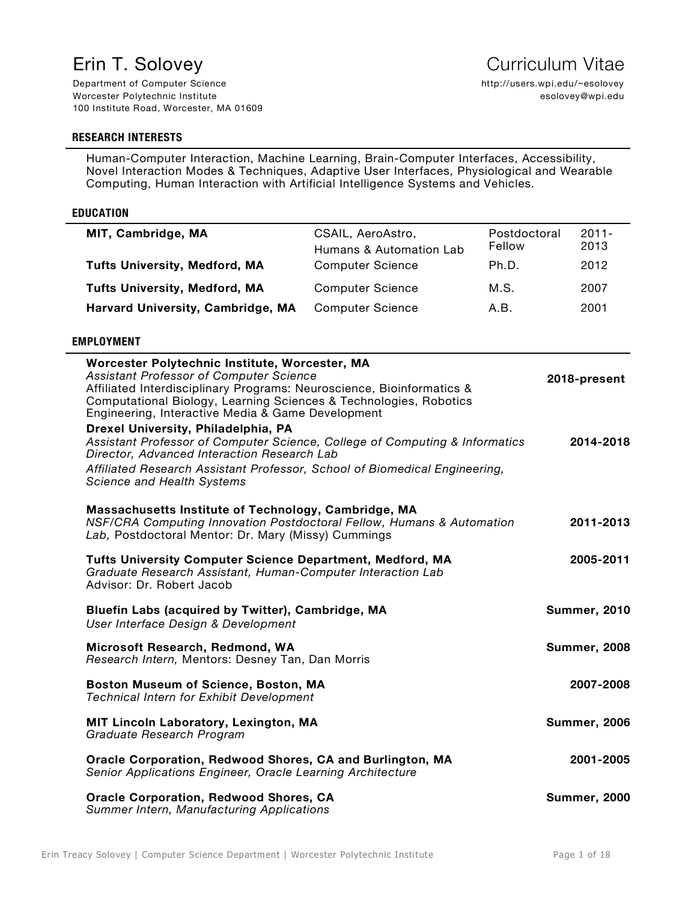Department of Computer Science Worcester Polytechnic Institute 100 Institute Road, Worcester, MA 01609

# **RESEARCH INTERESTS**

Human-Computer Interaction, Machine Learning, Brain-Computer Interfaces, Accessibility, Novel Interaction Modes & Techniques, Adaptive User Interfaces, Physiological and Wearable Computing, Human Interaction with Artificial Intelligence Systems and Vehicles.

#### **EDUCATION**

| MIT, Cambridge, MA                   | CSAIL, AeroAstro,<br>Humans & Automation Lab | Postdoctoral<br>Fellow | $2011 -$<br>2013 |
|--------------------------------------|----------------------------------------------|------------------------|------------------|
| <b>Tufts University, Medford, MA</b> | <b>Computer Science</b>                      | Ph.D.                  | 2012             |
| <b>Tufts University, Medford, MA</b> | <b>Computer Science</b>                      | M.S.                   | 2007             |
| Harvard University, Cambridge, MA    | <b>Computer Science</b>                      | A.B.                   | 2001             |

# **EMPLOYMENT**

| Worcester Polytechnic Institute, Worcester, MA<br>Assistant Professor of Computer Science<br>Affiliated Interdisciplinary Programs: Neuroscience, Bioinformatics &<br>Computational Biology, Learning Sciences & Technologies, Robotics<br>Engineering, Interactive Media & Game Development<br>Drexel University, Philadelphia, PA<br>Assistant Professor of Computer Science, College of Computing & Informatics<br>Director, Advanced Interaction Research Lab | 2018-present<br>2014-2018 |
|-------------------------------------------------------------------------------------------------------------------------------------------------------------------------------------------------------------------------------------------------------------------------------------------------------------------------------------------------------------------------------------------------------------------------------------------------------------------|---------------------------|
| Affiliated Research Assistant Professor, School of Biomedical Engineering,<br>Science and Health Systems                                                                                                                                                                                                                                                                                                                                                          |                           |
| Massachusetts Institute of Technology, Cambridge, MA<br>NSF/CRA Computing Innovation Postdoctoral Fellow, Humans & Automation<br>Lab, Postdoctoral Mentor: Dr. Mary (Missy) Cummings                                                                                                                                                                                                                                                                              | 2011-2013                 |
| <b>Tufts University Computer Science Department, Medford, MA</b><br>Graduate Research Assistant, Human-Computer Interaction Lab<br>Advisor: Dr. Robert Jacob                                                                                                                                                                                                                                                                                                      | 2005-2011                 |
| Bluefin Labs (acquired by Twitter), Cambridge, MA<br>User Interface Design & Development                                                                                                                                                                                                                                                                                                                                                                          | <b>Summer, 2010</b>       |
| Microsoft Research, Redmond, WA<br>Research Intern, Mentors: Desney Tan, Dan Morris                                                                                                                                                                                                                                                                                                                                                                               | <b>Summer, 2008</b>       |
| <b>Boston Museum of Science, Boston, MA</b><br><b>Technical Intern for Exhibit Development</b>                                                                                                                                                                                                                                                                                                                                                                    | 2007-2008                 |
| <b>MIT Lincoln Laboratory, Lexington, MA</b><br>Graduate Research Program                                                                                                                                                                                                                                                                                                                                                                                         | <b>Summer, 2006</b>       |
| Oracle Corporation, Redwood Shores, CA and Burlington, MA<br>Senior Applications Engineer, Oracle Learning Architecture                                                                                                                                                                                                                                                                                                                                           | 2001-2005                 |
| <b>Oracle Corporation, Redwood Shores, CA</b><br>Summer Intern, Manufacturing Applications                                                                                                                                                                                                                                                                                                                                                                        | <b>Summer, 2000</b>       |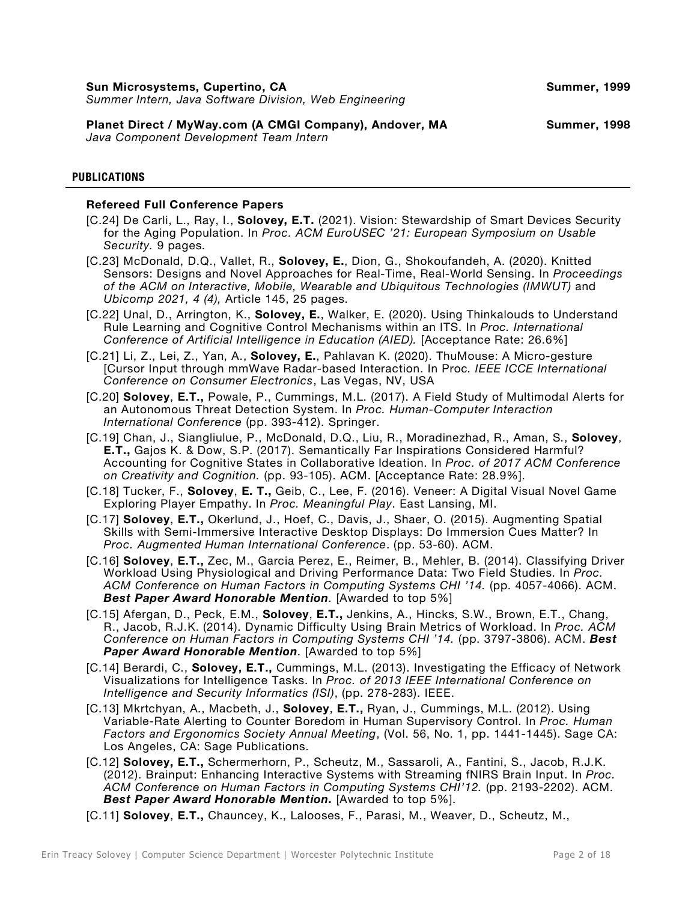**Planet Direct / MyWay.com (A CMGI Company), Andover, MA**

*Java Component Development Team Intern*

# **PUBLICATIONS**

## **Refereed Full Conference Papers**

- [C.24] De Carli, L., Ray, I., **Solovey, E.T.** (2021). Vision: Stewardship of Smart Devices Security for the Aging Population. In *Proc. ACM EuroUSEC '21: European Symposium on Usable Security.* 9 pages.
- [C.23] McDonald, D.Q., Vallet, R., **Solovey, E.**, Dion, G., Shokoufandeh, A. (2020). Knitted Sensors: Designs and Novel Approaches for Real-Time, Real-World Sensing. In *Proceedings of the ACM on Interactive, Mobile, Wearable and Ubiquitous Technologies (IMWUT)* and *Ubicomp 2021, 4 (4),* Article 145, 25 pages.
- [C.22] Unal, D., Arrington, K., **Solovey, E.**, Walker, E. (2020). Using Thinkalouds to Understand Rule Learning and Cognitive Control Mechanisms within an ITS. In *Proc. International Conference of Artificial Intelligence in Education (AIED).* [Acceptance Rate: 26.6%]
- [C.21] Li, Z., Lei, Z., Yan, A., **Solovey, E.**, Pahlavan K. (2020). ThuMouse: A Micro-gesture [Cursor Input through mmWave Radar-based Interaction. In Proc*. IEEE ICCE International Conference on Consumer Electronics*, Las Vegas, NV, USA
- [C.20] **Solovey**, **E.T.,** Powale, P., Cummings, M.L. (2017). A Field Study of Multimodal Alerts for an Autonomous Threat Detection System. In *Proc. Human-Computer Interaction International Conference* (pp. 393-412). Springer.
- [C.19] Chan, J., Siangliulue, P., McDonald, D.Q., Liu, R., Moradinezhad, R., Aman, S., **Solovey**, **E.T.,** Gajos K. & Dow, S.P. (2017). Semantically Far Inspirations Considered Harmful? Accounting for Cognitive States in Collaborative Ideation. In *Proc. of 2017 ACM Conference on Creativity and Cognition.* (pp. 93-105). ACM. [Acceptance Rate: 28.9%].
- [C.18] Tucker, F., **Solovey**, **E. T.,** Geib, C., Lee, F. (2016). Veneer: A Digital Visual Novel Game Exploring Player Empathy. In *Proc. Meaningful Play*. East Lansing, MI.
- [C.17] **Solovey**, **E.T.,** Okerlund, J., Hoef, C., Davis, J., Shaer, O. (2015). Augmenting Spatial Skills with Semi-Immersive Interactive Desktop Displays: Do Immersion Cues Matter? In *Proc. Augmented Human International Conference*. (pp. 53-60). ACM.
- [C.16] **Solovey**, **E.T.,** Zec, M., Garcia Perez, E., Reimer, B., Mehler, B. (2014). Classifying Driver Workload Using Physiological and Driving Performance Data: Two Field Studies. In *Proc. ACM Conference on Human Factors in Computing Systems CHI '14.* (pp. 4057-4066). ACM. **Best Paper Award Honorable Mention**. [Awarded to top 5%]
- [C.15] Afergan, D., Peck, E.M., **Solovey**, **E.T.,** Jenkins, A., Hincks, S.W., Brown, E.T., Chang, R., Jacob, R.J.K. (2014). Dynamic Difficulty Using Brain Metrics of Workload. In *Proc. ACM Conference on Human Factors in Computing Systems CHI '14.* (pp. 3797-3806). ACM. *Best*  **Paper Award Honorable Mention**. [Awarded to top 5%]
- [C.14] Berardi, C., **Solovey, E.T.,** Cummings, M.L. (2013). Investigating the Efficacy of Network Visualizations for Intelligence Tasks. In *Proc. of 2013 IEEE International Conference on Intelligence and Security Informatics (ISI)*, (pp. 278-283). IEEE.
- [C.13] Mkrtchyan, A., Macbeth, J., **Solovey**, **E.T.,** Ryan, J., Cummings, M.L. (2012). Using Variable-Rate Alerting to Counter Boredom in Human Supervisory Control. In *Proc. Human Factors and Ergonomics Society Annual Meeting*, (Vol. 56, No. 1, pp. 1441-1445). Sage CA: Los Angeles, CA: Sage Publications.
- [C.12] **Solovey, E.T.,** Schermerhorn, P., Scheutz, M., Sassaroli, A., Fantini, S., Jacob, R.J.K. (2012). Brainput: Enhancing Interactive Systems with Streaming fNIRS Brain Input. In *Proc. ACM Conference on Human Factors in Computing Systems CHI'12.* (pp. 2193-2202). ACM. *Best Paper Award Honorable Mention.* [Awarded to top 5%].
- [C.11] **Solovey**, **E.T.,** Chauncey, K., Lalooses, F., Parasi, M., Weaver, D., Scheutz, M.,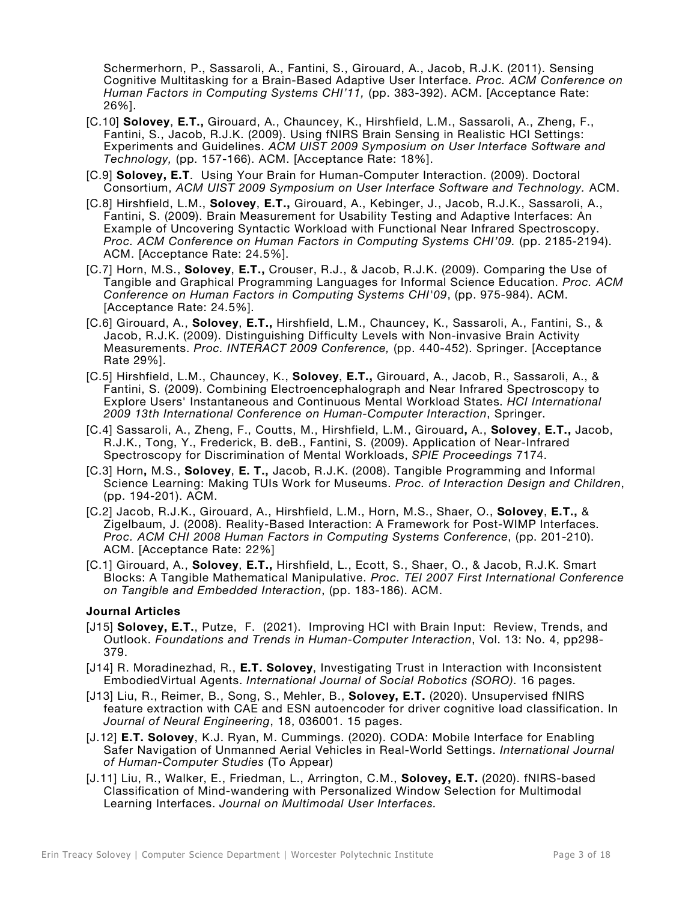Schermerhorn, P., Sassaroli, A., Fantini, S., Girouard, A., Jacob, R.J.K. (2011). Sensing Cognitive Multitasking for a Brain-Based Adaptive User Interface. *Proc. ACM Conference on Human Factors in Computing Systems CHI'11,* (pp. 383-392). ACM. [Acceptance Rate: 26%].

- [C.10] **Solovey**, **E.T.,** Girouard, A., Chauncey, K., Hirshfield, L.M., Sassaroli, A., Zheng, F., Fantini, S., Jacob, R.J.K. (2009). Using fNIRS Brain Sensing in Realistic HCI Settings: Experiments and Guidelines. *ACM UIST 2009 Symposium on User Interface Software and Technology,* (pp. 157-166). ACM. [Acceptance Rate: 18%].
- [C.9] **Solovey, E.T**. Using Your Brain for Human-Computer Interaction. (2009). Doctoral Consortium, *ACM UIST 2009 Symposium on User Interface Software and Technology.* ACM.
- [C.8] Hirshfield, L.M., **Solovey**, **E.T.,** Girouard, A., Kebinger, J., Jacob, R.J.K., Sassaroli, A., Fantini, S. (2009). Brain Measurement for Usability Testing and Adaptive Interfaces: An Example of Uncovering Syntactic Workload with Functional Near Infrared Spectroscopy. *Proc. ACM Conference on Human Factors in Computing Systems CHI'09.* (pp. 2185-2194). ACM. [Acceptance Rate: 24.5%].
- [C.7] Horn, M.S., **Solovey**, **E.T.,** Crouser, R.J., & Jacob, R.J.K. (2009). Comparing the Use of Tangible and Graphical Programming Languages for Informal Science Education. *Proc. ACM Conference on Human Factors in Computing Systems CHI'09*, (pp. 975-984). ACM. [Acceptance Rate: 24.5%].
- [C.6] Girouard, A., **Solovey**, **E.T.,** Hirshfield, L.M., Chauncey, K., Sassaroli, A., Fantini, S., & Jacob, R.J.K. (2009). Distinguishing Difficulty Levels with Non-invasive Brain Activity Measurements. *Proc. INTERACT 2009 Conference,* (pp. 440-452). Springer. [Acceptance Rate 29%].
- [C.5] Hirshfield, L.M., Chauncey, K., **Solovey**, **E.T.,** Girouard, A., Jacob, R., Sassaroli, A., & Fantini, S. (2009). Combining Electroencephalograph and Near Infrared Spectroscopy to Explore Users' Instantaneous and Continuous Mental Workload States. *HCI International 2009 13th International Conference on Human-Computer Interaction*, Springer.
- [C.4] Sassaroli, A., Zheng, F., Coutts, M., Hirshfield, L.M., Girouard**,** A., **Solovey**, **E.T.,** Jacob, R.J.K., Tong, Y., Frederick, B. deB., Fantini, S. (2009). Application of Near-Infrared Spectroscopy for Discrimination of Mental Workloads, *SPIE Proceedings* 7174.
- [C.3] Horn**,** M.S., **Solovey**, **E. T.,** Jacob, R.J.K. (2008). Tangible Programming and Informal Science Learning: Making TUIs Work for Museums. *Proc. of Interaction Design and Children*, (pp. 194-201). ACM.
- [C.2] Jacob, R.J.K., Girouard, A., Hirshfield, L.M., Horn, M.S., Shaer, O., **Solovey**, **E.T.,** & Zigelbaum, J. (2008). Reality-Based Interaction: A Framework for Post-WIMP Interfaces. *Proc. ACM CHI 2008 Human Factors in Computing Systems Conference*, (pp. 201-210). ACM. [Acceptance Rate: 22%]
- [C.1] Girouard, A., **Solovey**, **E.T.,** Hirshfield, L., Ecott, S., Shaer, O., & Jacob, R.J.K. Smart Blocks: A Tangible Mathematical Manipulative. *Proc. TEI 2007 First International Conference on Tangible and Embedded Interaction*, (pp. 183-186). ACM.

## **Journal Articles**

- [J15] **Solovey, E.T.**, Putze, F. (2021). Improving HCI with Brain Input: Review, Trends, and Outlook. *Foundations and Trends in Human-Computer Interaction*, Vol. 13: No. 4, pp298- 379.
- [J14] R. Moradinezhad, R., **E.T. Solovey**, Investigating Trust in Interaction with Inconsistent EmbodiedVirtual Agents. *International Journal of Social Robotics (SORO)*. 16 pages.
- [J13] Liu, R., Reimer, B., Song, S., Mehler, B., **Solovey, E.T.** (2020). Unsupervised fNIRS feature extraction with CAE and ESN autoencoder for driver cognitive load classification. In *Journal of Neural Engineering*, 18, 036001. 15 pages.
- [J.12] **E.T. Solovey**, K.J. Ryan, M. Cummings. (2020). CODA: Mobile Interface for Enabling Safer Navigation of Unmanned Aerial Vehicles in Real-World Settings. *International Journal of Human-Computer Studies* (To Appear)
- [J.11] Liu, R., Walker, E., Friedman, L., Arrington, C.M., **Solovey, E.T.** (2020). fNIRS-based Classification of Mind-wandering with Personalized Window Selection for Multimodal Learning Interfaces. *Journal on Multimodal User Interfaces.*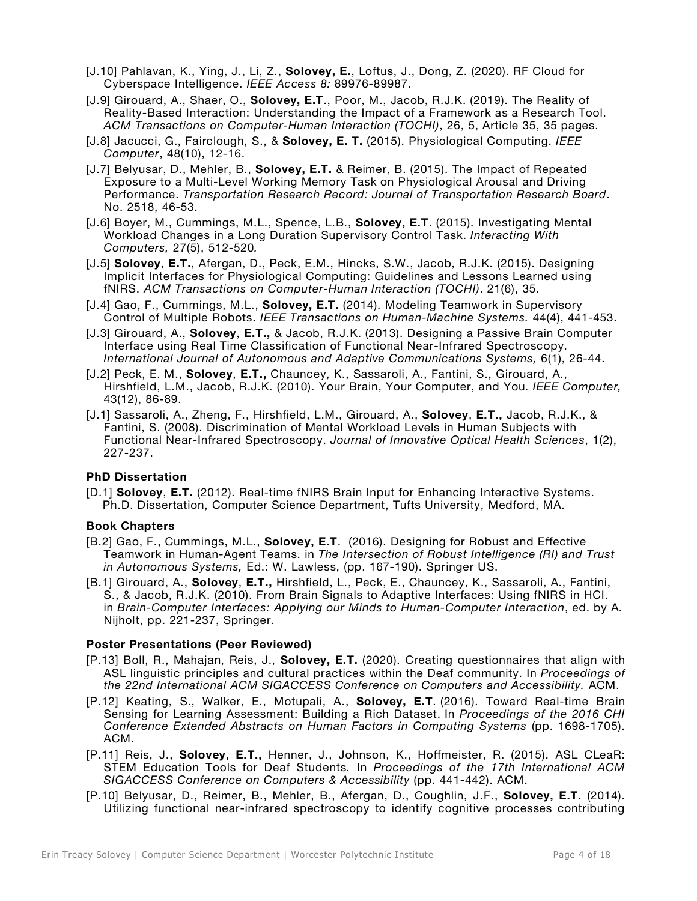- [J.10] Pahlavan, K., Ying, J., Li, Z., **Solovey, E.**, Loftus, J., Dong, Z. (2020). RF Cloud for Cyberspace Intelligence. *IEEE Access 8:* 89976-89987.
- [J.9] Girouard, A., Shaer, O., **Solovey, E.T**., Poor, M., Jacob, R.J.K. (2019). The Reality of Reality-Based Interaction: Understanding the Impact of a Framework as a Research Tool. *ACM Transactions on Computer-Human Interaction (TOCHI)*, 26, 5, Article 35, 35 pages.
- [J.8] Jacucci, G., Fairclough, S., & **Solovey, E. T.** (2015). Physiological Computing. *IEEE Computer*, 48(10), 12-16.
- [J.7] Belyusar, D., Mehler, B., **Solovey, E.T.** & Reimer, B. (2015). The Impact of Repeated Exposure to a Multi-Level Working Memory Task on Physiological Arousal and Driving Performance. *Transportation Research Record: Journal of Transportation Research Board*. No. 2518, 46-53.
- [J.6] Boyer, M., Cummings, M.L., Spence, L.B., **Solovey, E.T**. (2015). Investigating Mental Workload Changes in a Long Duration Supervisory Control Task. *Interacting With Computers,* 27(5), 512-520*.*
- [J.5] **Solovey**, **E.T.**, Afergan, D., Peck, E.M., Hincks, S.W., Jacob, R.J.K. (2015). Designing Implicit Interfaces for Physiological Computing: Guidelines and Lessons Learned using fNIRS. *ACM Transactions on Computer-Human Interaction (TOCHI)*. 21(6), 35.
- [J.4] Gao, F., Cummings, M.L., **Solovey, E.T.** (2014). Modeling Teamwork in Supervisory Control of Multiple Robots. *IEEE Transactions on Human-Machine Systems.* 44(4), 441-453.
- [J.3] Girouard, A., **Solovey**, **E.T.,** & Jacob, R.J.K. (2013). Designing a Passive Brain Computer Interface using Real Time Classification of Functional Near-Infrared Spectroscopy. *International Journal of Autonomous and Adaptive Communications Systems,* 6(1), 26-44.
- [J.2] Peck, E. M., **Solovey**, **E.T.,** Chauncey, K., Sassaroli, A., Fantini, S., Girouard, A., Hirshfield, L.M., Jacob, R.J.K. (2010). Your Brain, Your Computer, and You. *IEEE Computer,* 43(12), 86-89.
- [J.1] Sassaroli, A., Zheng, F., Hirshfield, L.M., Girouard, A., **Solovey**, **E.T.,** Jacob, R.J.K., & Fantini, S. (2008). Discrimination of Mental Workload Levels in Human Subjects with Functional Near-Infrared Spectroscopy. *Journal of Innovative Optical Health Sciences*, 1(2), 227-237.

## **PhD Dissertation**

[D.1] **Solovey**, **E.T.** (2012). Real-time fNIRS Brain Input for Enhancing Interactive Systems. Ph.D. Dissertation, Computer Science Department, Tufts University, Medford, MA.

## **Book Chapters**

- [B.2] Gao, F., Cummings, M.L., **Solovey, E.T**. (2016). Designing for Robust and Effective Teamwork in Human-Agent Teams. in *The Intersection of Robust Intelligence (RI) and Trust in Autonomous Systems,* Ed.: W. Lawless, (pp. 167-190). Springer US.
- [B.1] Girouard, A., **Solovey**, **E.T.,** Hirshfield, L., Peck, E., Chauncey, K., Sassaroli, A., Fantini, S., & Jacob, R.J.K. (2010). From Brain Signals to Adaptive Interfaces: Using fNIRS in HCI. in *Brain-Computer Interfaces: Applying our Minds to Human-Computer Interaction*, ed. by A. Nijholt, pp. 221-237, Springer.

## **Poster Presentations (Peer Reviewed)**

- [P.13] Boll, R., Mahajan, Reis, J., **Solovey, E.T.** (2020). Creating questionnaires that align with ASL linguistic principles and cultural practices within the Deaf community. In *Proceedings of the 22nd International ACM SIGACCESS Conference on Computers and Accessibility.* ACM.
- [P.12] Keating, S., Walker, E., Motupali, A., **Solovey, E.T**. (2016). Toward Real-time Brain Sensing for Learning Assessment: Building a Rich Dataset. In *Proceedings of the 2016 CHI Conference Extended Abstracts on Human Factors in Computing Systems* (pp. 1698-1705). ACM.
- [P.11] Reis, J., **Solovey**, **E.T.,** Henner, J., Johnson, K., Hoffmeister, R. (2015). ASL CLeaR: STEM Education Tools for Deaf Students*.* In *Proceedings of the 17th International ACM SIGACCESS Conference on Computers & Accessibility* (pp. 441-442). ACM.
- [P.10] Belyusar, D., Reimer, B., Mehler, B., Afergan, D., Coughlin, J.F., **Solovey, E.T**. (2014). Utilizing functional near-infrared spectroscopy to identify cognitive processes contributing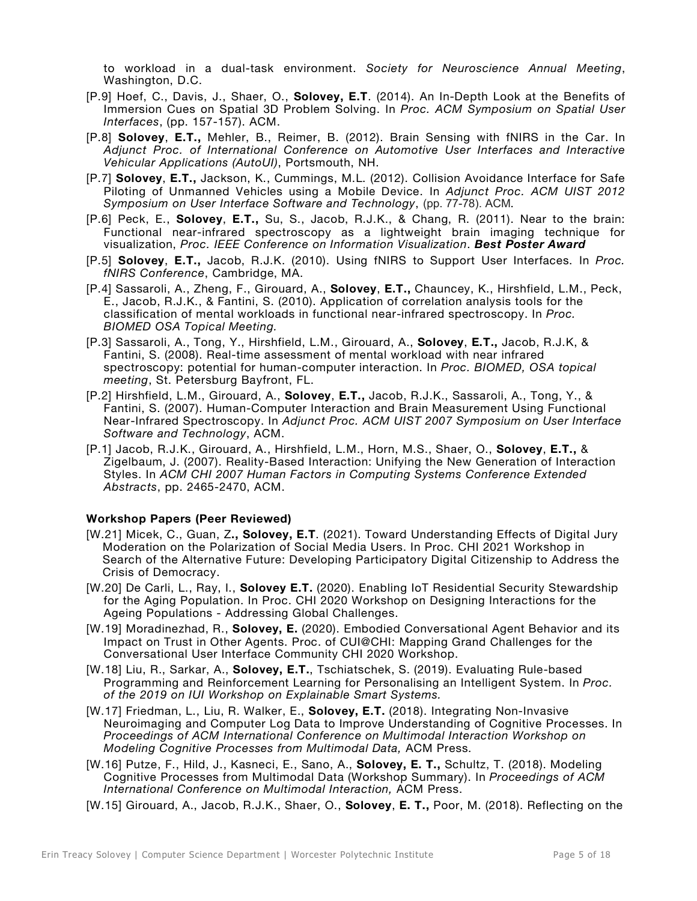to workload in a dual-task environment. *Society for Neuroscience Annual Meeting*, Washington, D.C.

- [P.9] Hoef, C., Davis, J., Shaer, O., **Solovey, E.T**. (2014). An In-Depth Look at the Benefits of Immersion Cues on Spatial 3D Problem Solving. In *Proc. ACM Symposium on Spatial User Interfaces*, (pp. 157-157). ACM.
- [P.8] **Solovey**, **E.T.,** Mehler, B., Reimer, B. (2012). Brain Sensing with fNIRS in the Car. In *Adjunct Proc. of International Conference on Automotive User Interfaces and Interactive Vehicular Applications (AutoUI)*, Portsmouth, NH.
- [P.7] **Solovey**, **E.T.,** Jackson, K., Cummings, M.L. (2012). Collision Avoidance Interface for Safe Piloting of Unmanned Vehicles using a Mobile Device. In *Adjunct Proc. ACM UIST 2012 Symposium on User Interface Software and Technology*, (pp. 77-78). ACM.
- [P.6] Peck, E., **Solovey**, **E.T.,** Su, S., Jacob, R.J.K., & Chang, R. (2011). Near to the brain: Functional near-infrared spectroscopy as a lightweight brain imaging technique for visualization, *Proc. IEEE Conference on Information Visualization*. *Best Poster Award*
- [P.5] **Solovey**, **E.T.,** Jacob, R.J.K. (2010). Using fNIRS to Support User Interfaces. In *Proc. fNIRS Conference*, Cambridge, MA.
- [P.4] Sassaroli, A., Zheng, F., Girouard, A., **Solovey**, **E.T.,** Chauncey, K., Hirshfield, L.M., Peck, E., Jacob, R.J.K., & Fantini, S. (2010). Application of correlation analysis tools for the classification of mental workloads in functional near-infrared spectroscopy. In *Proc. BIOMED OSA Topical Meeting.*
- [P.3] Sassaroli, A., Tong, Y., Hirshfield, L.M., Girouard, A., **Solovey**, **E.T.,** Jacob, R.J.K, & Fantini, S. (2008). Real-time assessment of mental workload with near infrared spectroscopy: potential for human-computer interaction. In *Proc. BIOMED, OSA topical meeting*, St. Petersburg Bayfront, FL.
- [P.2] Hirshfield, L.M., Girouard, A., **Solovey**, **E.T.,** Jacob, R.J.K., Sassaroli, A., Tong, Y., & Fantini, S. (2007). Human-Computer Interaction and Brain Measurement Using Functional Near-Infrared Spectroscopy. In *Adjunct Proc. ACM UIST 2007 Symposium on User Interface Software and Technology*, ACM.
- [P.1] Jacob, R.J.K., Girouard, A., Hirshfield, L.M., Horn, M.S., Shaer, O., **Solovey**, **E.T.,** & Zigelbaum, J. (2007). Reality-Based Interaction: Unifying the New Generation of Interaction Styles. In *ACM CHI 2007 Human Factors in Computing Systems Conference Extended Abstracts*, pp. 2465-2470, ACM.

## **Workshop Papers (Peer Reviewed)**

- [W.21] Micek, C., Guan, Z**., Solovey, E.T**. (2021). Toward Understanding Effects of Digital Jury Moderation on the Polarization of Social Media Users. In Proc. CHI 2021 Workshop in Search of the Alternative Future: Developing Participatory Digital Citizenship to Address the Crisis of Democracy.
- [W.20] De Carli, L., Ray, I., **Solovey E.T.** (2020). Enabling IoT Residential Security Stewardship for the Aging Population. In Proc. CHI 2020 Workshop on Designing Interactions for the Ageing Populations - Addressing Global Challenges.
- [W.19] Moradinezhad, R., **Solovey, E.** (2020). Embodied Conversational Agent Behavior and its Impact on Trust in Other Agents. Proc. of CUI@CHI: Mapping Grand Challenges for the Conversational User Interface Community CHI 2020 Workshop.
- [W.18] Liu, R., Sarkar, A., **Solovey, E.T.**, Tschiatschek, S. (2019). Evaluating Rule-based Programming and Reinforcement Learning for Personalising an Intelligent System. In *Proc. of the 2019 on IUI Workshop on Explainable Smart Systems.*
- [W.17] Friedman, L., Liu, R. Walker, E., **Solovey, E.T.** (2018). Integrating Non-Invasive Neuroimaging and Computer Log Data to Improve Understanding of Cognitive Processes. In *Proceedings of ACM International Conference on Multimodal Interaction Workshop on Modeling Cognitive Processes from Multimodal Data,* ACM Press.
- [W.16] Putze, F., Hild, J., Kasneci, E., Sano, A., **Solovey, E. T.,** Schultz, T. (2018). Modeling Cognitive Processes from Multimodal Data (Workshop Summary). In *Proceedings of ACM International Conference on Multimodal Interaction,* ACM Press.
- [W.15] Girouard, A., Jacob, R.J.K., Shaer, O., **Solovey**, **E. T.,** Poor, M. (2018). Reflecting on the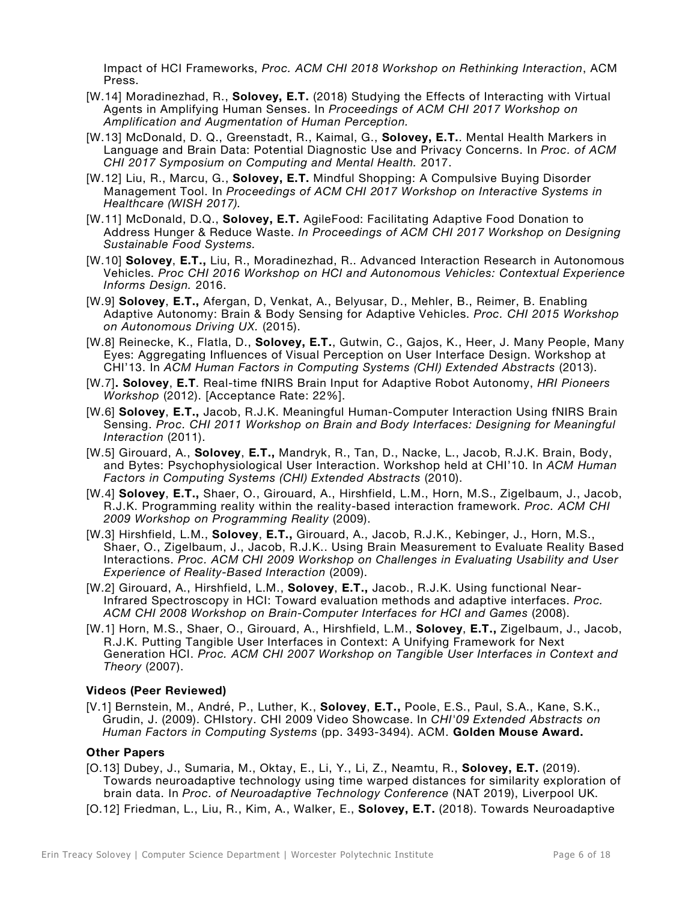Impact of HCI Frameworks, *Proc. ACM CHI 2018 Workshop on Rethinking Interaction*, ACM Press.

- [W.14] Moradinezhad, R., **Solovey, E.T.** (2018) Studying the Effects of Interacting with Virtual Agents in Amplifying Human Senses. In *Proceedings of ACM CHI 2017 Workshop on Amplification and Augmentation of Human Perception.*
- [W.13] McDonald, D. Q., Greenstadt, R., Kaimal, G., **Solovey, E.T.**. Mental Health Markers in Language and Brain Data: Potential Diagnostic Use and Privacy Concerns. In *Proc. of ACM CHI 2017 Symposium on Computing and Mental Health.* 2017.
- [W.12] Liu, R., Marcu, G., **Solovey, E.T.** Mindful Shopping: A Compulsive Buying Disorder Management Tool. In *Proceedings of ACM CHI 2017 Workshop on Interactive Systems in Healthcare (WISH 2017).*
- [W.11] McDonald, D.Q., **Solovey, E.T.** AgileFood: Facilitating Adaptive Food Donation to Address Hunger & Reduce Waste. *In Proceedings of ACM CHI 2017 Workshop on Designing Sustainable Food Systems.*
- [W.10] **Solovey**, **E.T.,** Liu, R., Moradinezhad, R.. Advanced Interaction Research in Autonomous Vehicles. *Proc CHI 2016 Workshop on HCI and Autonomous Vehicles: Contextual Experience Informs Design.* 2016.
- [W.9] **Solovey**, **E.T.,** Afergan, D, Venkat, A., Belyusar, D., Mehler, B., Reimer, B. Enabling Adaptive Autonomy: Brain & Body Sensing for Adaptive Vehicles. *Proc. CHI 2015 Workshop on Autonomous Driving UX.* (2015).
- [W.8] Reinecke, K., Flatla, D., **Solovey, E.T.**, Gutwin, C., Gajos, K., Heer, J. Many People, Many Eyes: Aggregating Influences of Visual Perception on User Interface Design. Workshop at CHI'13. In *ACM Human Factors in Computing Systems (CHI) Extended Abstracts* (2013).
- [W.7]**. Solovey**, **E.T**. Real-time fNIRS Brain Input for Adaptive Robot Autonomy, *HRI Pioneers Workshop* (2012). [Acceptance Rate: 22%].
- [W.6] **Solovey**, **E.T.,** Jacob, R.J.K. Meaningful Human-Computer Interaction Using fNIRS Brain Sensing. *Proc. CHI 2011 Workshop on Brain and Body Interfaces: Designing for Meaningful Interaction* (2011).
- [W.5] Girouard, A., **Solovey**, **E.T.,** Mandryk, R., Tan, D., Nacke, L., Jacob, R.J.K. Brain, Body, and Bytes: Psychophysiological User Interaction. Workshop held at CHI'10. In *ACM Human Factors in Computing Systems (CHI) Extended Abstracts* (2010).
- [W.4] **Solovey**, **E.T.,** Shaer, O., Girouard, A., Hirshfield, L.M., Horn, M.S., Zigelbaum, J., Jacob, R.J.K. Programming reality within the reality-based interaction framework. *Proc. ACM CHI 2009 Workshop on Programming Reality* (2009).
- [W.3] Hirshfield, L.M., **Solovey**, **E.T.,** Girouard, A., Jacob, R.J.K., Kebinger, J., Horn, M.S., Shaer, O., Zigelbaum, J., Jacob, R.J.K.. Using Brain Measurement to Evaluate Reality Based Interactions. *Proc. ACM CHI 2009 Workshop on Challenges in Evaluating Usability and User Experience of Reality-Based Interaction* (2009).
- [W.2] Girouard, A., Hirshfield, L.M., **Solovey**, **E.T.,** Jacob., R.J.K. Using functional Near-Infrared Spectroscopy in HCI: Toward evaluation methods and adaptive interfaces. *Proc. ACM CHI 2008 Workshop on Brain-Computer Interfaces for HCI and Games* (2008).
- [W.1] Horn, M.S., Shaer, O., Girouard, A., Hirshfield, L.M., **Solovey**, **E.T.,** Zigelbaum, J., Jacob, R.J.K. Putting Tangible User Interfaces in Context: A Unifying Framework for Next Generation HCI. *Proc. ACM CHI 2007 Workshop on Tangible User Interfaces in Context and Theory* (2007).

## **Videos (Peer Reviewed)**

[V.1] Bernstein, M., André, P., Luther, K., **Solovey**, **E.T.,** Poole, E.S., Paul, S.A., Kane, S.K., Grudin, J. (2009). CHIstory. CHI 2009 Video Showcase. In *CHI'09 Extended Abstracts on Human Factors in Computing Systems* (pp. 3493-3494). ACM. **Golden Mouse Award.**

# **Other Papers**

- [O.13] Dubey, J., Sumaria, M., Oktay, E., Li, Y., Li, Z., Neamtu, R., **Solovey, E.T.** (2019). Towards neuroadaptive technology using time warped distances for similarity exploration of brain data. In *Proc. of Neuroadaptive Technology Conference* (NAT 2019), Liverpool UK.
- [O.12] Friedman, L., Liu, R., Kim, A., Walker, E., **Solovey, E.T.** (2018). Towards Neuroadaptive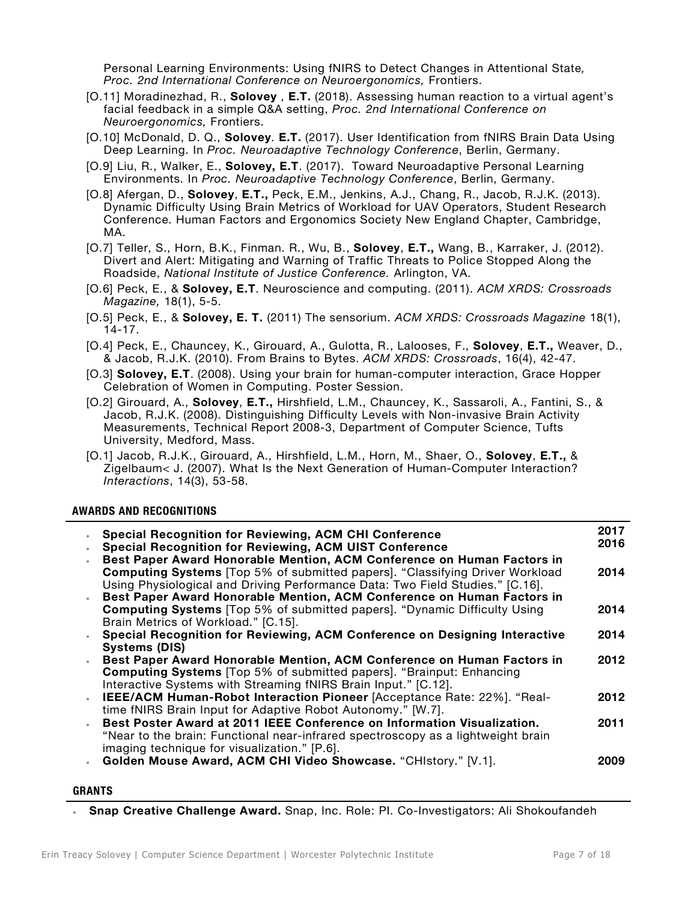Personal Learning Environments: Using fNIRS to Detect Changes in Attentional State*, Proc. 2nd International Conference on Neuroergonomics,* Frontiers.

- [O.11] Moradinezhad, R., **Solovey** , **E.T.** (2018). Assessing human reaction to a virtual agent's facial feedback in a simple Q&A setting, *Proc. 2nd International Conference on Neuroergonomics,* Frontiers.
- [O.10] McDonald, D. Q., **Solovey**. **E.T.** (2017). User Identification from fNIRS Brain Data Using Deep Learning. In *Proc. Neuroadaptive Technology Conference*, Berlin, Germany.
- [O.9] Liu, R., Walker, E., **Solovey, E.T**. (2017). Toward Neuroadaptive Personal Learning Environments. In *Proc. Neuroadaptive Technology Conference*, Berlin, Germany.
- [O.8] Afergan, D., **Solovey**, **E.T.,** Peck, E.M., Jenkins, A.J., Chang, R., Jacob, R.J.K. (2013). Dynamic Difficulty Using Brain Metrics of Workload for UAV Operators, Student Research Conference. Human Factors and Ergonomics Society New England Chapter, Cambridge, MA.
- [O.7] Teller, S., Horn, B.K., Finman. R., Wu, B., **Solovey**, **E.T.,** Wang, B., Karraker, J. (2012). Divert and Alert: Mitigating and Warning of Traffic Threats to Police Stopped Along the Roadside, *National Institute of Justice Conference.* Arlington, VA.
- [O.6] Peck, E., & **Solovey, E.T**. Neuroscience and computing. (2011). *ACM XRDS: Crossroads Magazine,* 18(1), 5-5.
- [O.5] Peck, E., & **Solovey, E. T.** (2011) The sensorium. *ACM XRDS: Crossroads Magazine* 18(1), 14-17.
- [O.4] Peck, E., Chauncey, K., Girouard, A., Gulotta, R., Lalooses, F., **Solovey**, **E.T.,** Weaver, D., & Jacob, R.J.K. (2010). From Brains to Bytes. *ACM XRDS: Crossroads*, 16(4), 42-47.
- [O.3] **Solovey, E.T**. (2008). Using your brain for human-computer interaction, Grace Hopper Celebration of Women in Computing. Poster Session.
- [O.2] Girouard, A., **Solovey**, **E.T.,** Hirshfield, L.M., Chauncey, K., Sassaroli, A., Fantini, S., & Jacob, R.J.K. (2008). Distinguishing Difficulty Levels with Non-invasive Brain Activity Measurements, Technical Report 2008-3, Department of Computer Science, Tufts University, Medford, Mass.
- [O.1] Jacob, R.J.K., Girouard, A., Hirshfield, L.M., Horn, M., Shaer, O., **Solovey**, **E.T.,** & Zigelbaum< J. (2007). What Is the Next Generation of Human-Computer Interaction? *Interactions*, 14(3), 53-58.

## **AWARDS AND RECOGNITIONS**

| <b>Special Recognition for Reviewing, ACM CHI Conference</b>                        | 2017 |
|-------------------------------------------------------------------------------------|------|
| <b>Special Recognition for Reviewing, ACM UIST Conference</b>                       | 2016 |
| Best Paper Award Honorable Mention, ACM Conference on Human Factors in              |      |
| <b>Computing Systems</b> [Top 5% of submitted papers]. "Classifying Driver Workload | 2014 |
| Using Physiological and Driving Performance Data: Two Field Studies." [C.16].       |      |
| Best Paper Award Honorable Mention, ACM Conference on Human Factors in              |      |
| <b>Computing Systems</b> [Top 5% of submitted papers]. "Dynamic Difficulty Using    | 2014 |
| Brain Metrics of Workload." [C.15].                                                 |      |
| Special Recognition for Reviewing, ACM Conference on Designing Interactive          | 2014 |
| <b>Systems (DIS)</b>                                                                |      |
| Best Paper Award Honorable Mention, ACM Conference on Human Factors in              | 2012 |
| <b>Computing Systems</b> [Top 5% of submitted papers]. "Brainput: Enhancing         |      |
| Interactive Systems with Streaming fNIRS Brain Input." [C.12].                      |      |
| IEEE/ACM Human-Robot Interaction Pioneer [Acceptance Rate: 22%]. "Real-             | 2012 |
| time fNIRS Brain Input for Adaptive Robot Autonomy." [W.7].                         |      |
| Best Poster Award at 2011 IEEE Conference on Information Visualization.             | 2011 |
| "Near to the brain: Functional near-infrared spectroscopy as a lightweight brain    |      |
| imaging technique for visualization." [P.6].                                        |      |
| Golden Mouse Award, ACM CHI Video Showcase. "CHIstory." [V.1].                      | 2009 |
|                                                                                     |      |

### **GRANTS**

• **Snap Creative Challenge Award.** Snap, Inc. Role: PI. Co-Investigators: Ali Shokoufandeh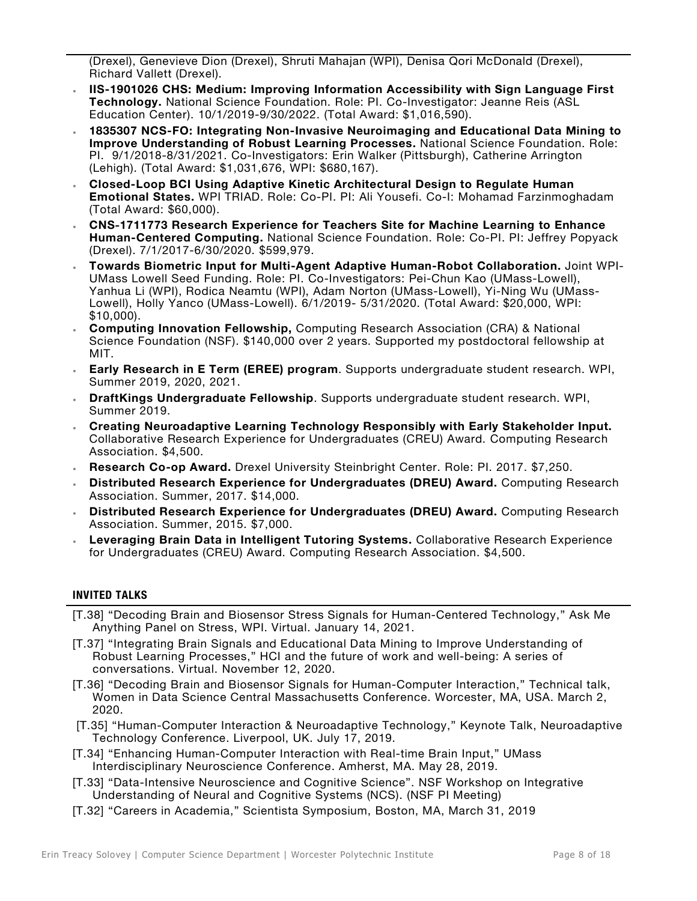(Drexel), Genevieve Dion (Drexel), Shruti Mahajan (WPI), Denisa Qori McDonald (Drexel), Richard Vallett (Drexel).

- **IIS-1901026 CHS: Medium: Improving Information Accessibility with Sign Language First Technology.** National Science Foundation. Role: PI. Co-Investigator: Jeanne Reis (ASL Education Center). 10/1/2019-9/30/2022. (Total Award: \$1,016,590).
- **1835307 NCS-FO: Integrating Non-Invasive Neuroimaging and Educational Data Mining to Improve Understanding of Robust Learning Processes.** National Science Foundation. Role: PI. 9/1/2018-8/31/2021. Co-Investigators: Erin Walker (Pittsburgh), Catherine Arrington (Lehigh). (Total Award: \$1,031,676, WPI: \$680,167).
- **Closed-Loop BCI Using Adaptive Kinetic Architectural Design to Regulate Human Emotional States.** WPI TRIAD. Role: Co-PI. PI: Ali Yousefi. Co-I: Mohamad Farzinmoghadam (Total Award: \$60,000).
- **CNS-1711773 Research Experience for Teachers Site for Machine Learning to Enhance Human-Centered Computing.** National Science Foundation. Role: Co-PI. PI: Jeffrey Popyack (Drexel). 7/1/2017-6/30/2020. \$599,979.
- **Towards Biometric Input for Multi-Agent Adaptive Human-Robot Collaboration.** Joint WPI-UMass Lowell Seed Funding. Role: PI. Co-Investigators: Pei-Chun Kao (UMass-Lowell), Yanhua Li (WPI), Rodica Neamtu (WPI), Adam Norton (UMass-Lowell), Yi-Ning Wu (UMass-Lowell), Holly Yanco (UMass-Lowell). 6/1/2019- 5/31/2020. (Total Award: \$20,000, WPI: \$10,000).
- **Computing Innovation Fellowship,** Computing Research Association (CRA) & National Science Foundation (NSF). \$140,000 over 2 years. Supported my postdoctoral fellowship at MIT.
- **Early Research in E Term (EREE) program**. Supports undergraduate student research. WPI, Summer 2019, 2020, 2021.
- **DraftKings Undergraduate Fellowship**. Supports undergraduate student research. WPI, Summer 2019.
- **Creating Neuroadaptive Learning Technology Responsibly with Early Stakeholder Input.** Collaborative Research Experience for Undergraduates (CREU) Award. Computing Research Association. \$4,500.
- **Research Co-op Award.** Drexel University Steinbright Center. Role: PI. 2017. \$7,250.
- **Distributed Research Experience for Undergraduates (DREU) Award.** Computing Research Association. Summer, 2017. \$14,000.
- **Distributed Research Experience for Undergraduates (DREU) Award.** Computing Research Association. Summer, 2015. \$7,000.
- **Leveraging Brain Data in Intelligent Tutoring Systems.** Collaborative Research Experience for Undergraduates (CREU) Award. Computing Research Association. \$4,500.

## **INVITED TALKS**

- [T.38] "Decoding Brain and Biosensor Stress Signals for Human-Centered Technology," Ask Me Anything Panel on Stress, WPI. Virtual. January 14, 2021.
- [T.37] "Integrating Brain Signals and Educational Data Mining to Improve Understanding of Robust Learning Processes," HCI and the future of work and well-being: A series of conversations. Virtual. November 12, 2020.
- [T.36] "Decoding Brain and Biosensor Signals for Human-Computer Interaction," Technical talk, Women in Data Science Central Massachusetts Conference. Worcester, MA, USA. March 2, 2020.
- [T.35] "Human-Computer Interaction & Neuroadaptive Technology," Keynote Talk, Neuroadaptive Technology Conference. Liverpool, UK. July 17, 2019.
- [T.34] "Enhancing Human-Computer Interaction with Real-time Brain Input," UMass Interdisciplinary Neuroscience Conference. Amherst, MA. May 28, 2019.
- [T.33] "Data-Intensive Neuroscience and Cognitive Science". NSF Workshop on Integrative Understanding of Neural and Cognitive Systems (NCS). (NSF PI Meeting)
- [T.32] "Careers in Academia," Scientista Symposium, Boston, MA, March 31, 2019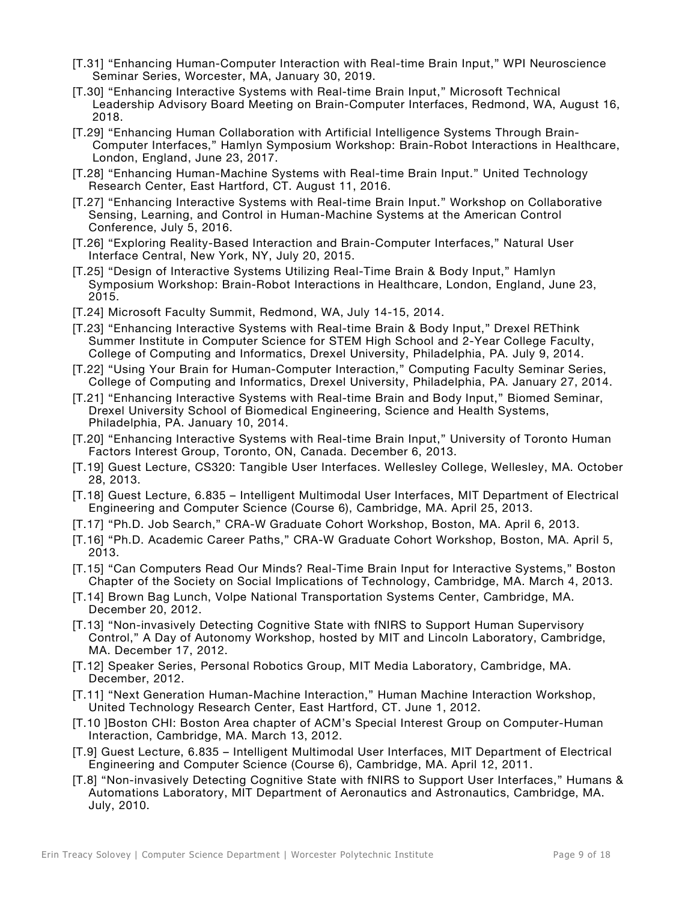- [T.31] "Enhancing Human-Computer Interaction with Real-time Brain Input," WPI Neuroscience Seminar Series, Worcester, MA, January 30, 2019.
- [T.30] "Enhancing Interactive Systems with Real-time Brain Input," Microsoft Technical Leadership Advisory Board Meeting on Brain-Computer Interfaces, Redmond, WA, August 16, 2018.
- [T.29] "Enhancing Human Collaboration with Artificial Intelligence Systems Through Brain-Computer Interfaces," Hamlyn Symposium Workshop: Brain-Robot Interactions in Healthcare, London, England, June 23, 2017.
- [T.28] "Enhancing Human-Machine Systems with Real-time Brain Input." United Technology Research Center, East Hartford, CT. August 11, 2016.
- [T.27] "Enhancing Interactive Systems with Real-time Brain Input." Workshop on Collaborative Sensing, Learning, and Control in Human-Machine Systems at the American Control Conference, July 5, 2016.
- [T.26] "Exploring Reality-Based Interaction and Brain-Computer Interfaces," Natural User Interface Central, New York, NY, July 20, 2015.
- [T.25] "Design of Interactive Systems Utilizing Real-Time Brain & Body Input," Hamlyn Symposium Workshop: Brain-Robot Interactions in Healthcare, London, England, June 23, 2015.
- [T.24] Microsoft Faculty Summit, Redmond, WA, July 14-15, 2014.
- [T.23] "Enhancing Interactive Systems with Real-time Brain & Body Input," Drexel REThink Summer Institute in Computer Science for STEM High School and 2-Year College Faculty, College of Computing and Informatics, Drexel University, Philadelphia, PA. July 9, 2014.
- [T.22] "Using Your Brain for Human-Computer Interaction," Computing Faculty Seminar Series, College of Computing and Informatics, Drexel University, Philadelphia, PA. January 27, 2014.
- [T.21] "Enhancing Interactive Systems with Real-time Brain and Body Input," Biomed Seminar, Drexel University School of Biomedical Engineering, Science and Health Systems, Philadelphia, PA. January 10, 2014.
- [T.20] "Enhancing Interactive Systems with Real-time Brain Input," University of Toronto Human Factors Interest Group, Toronto, ON, Canada. December 6, 2013.
- [T.19] Guest Lecture, CS320: Tangible User Interfaces. Wellesley College, Wellesley, MA. October 28, 2013.
- [T.18] Guest Lecture, 6.835 Intelligent Multimodal User Interfaces, MIT Department of Electrical Engineering and Computer Science (Course 6), Cambridge, MA. April 25, 2013.
- [T.17] "Ph.D. Job Search," CRA-W Graduate Cohort Workshop, Boston, MA. April 6, 2013.
- [T.16] "Ph.D. Academic Career Paths," CRA-W Graduate Cohort Workshop, Boston, MA. April 5, 2013.
- [T.15] "Can Computers Read Our Minds? Real-Time Brain Input for Interactive Systems," Boston Chapter of the Society on Social Implications of Technology, Cambridge, MA. March 4, 2013.
- [T.14] Brown Bag Lunch, Volpe National Transportation Systems Center, Cambridge, MA. December 20, 2012.
- [T.13] "Non-invasively Detecting Cognitive State with fNIRS to Support Human Supervisory Control," A Day of Autonomy Workshop, hosted by MIT and Lincoln Laboratory, Cambridge, MA. December 17, 2012.
- [T.12] Speaker Series, Personal Robotics Group, MIT Media Laboratory, Cambridge, MA. December, 2012.
- [T.11] "Next Generation Human-Machine Interaction," Human Machine Interaction Workshop, United Technology Research Center, East Hartford, CT. June 1, 2012.
- [T.10 ]Boston CHI: Boston Area chapter of ACM's Special Interest Group on Computer-Human Interaction, Cambridge, MA. March 13, 2012.
- [T.9] Guest Lecture, 6.835 Intelligent Multimodal User Interfaces, MIT Department of Electrical Engineering and Computer Science (Course 6), Cambridge, MA. April 12, 2011.
- [T.8] "Non-invasively Detecting Cognitive State with fNIRS to Support User Interfaces," Humans & Automations Laboratory, MIT Department of Aeronautics and Astronautics, Cambridge, MA. July, 2010.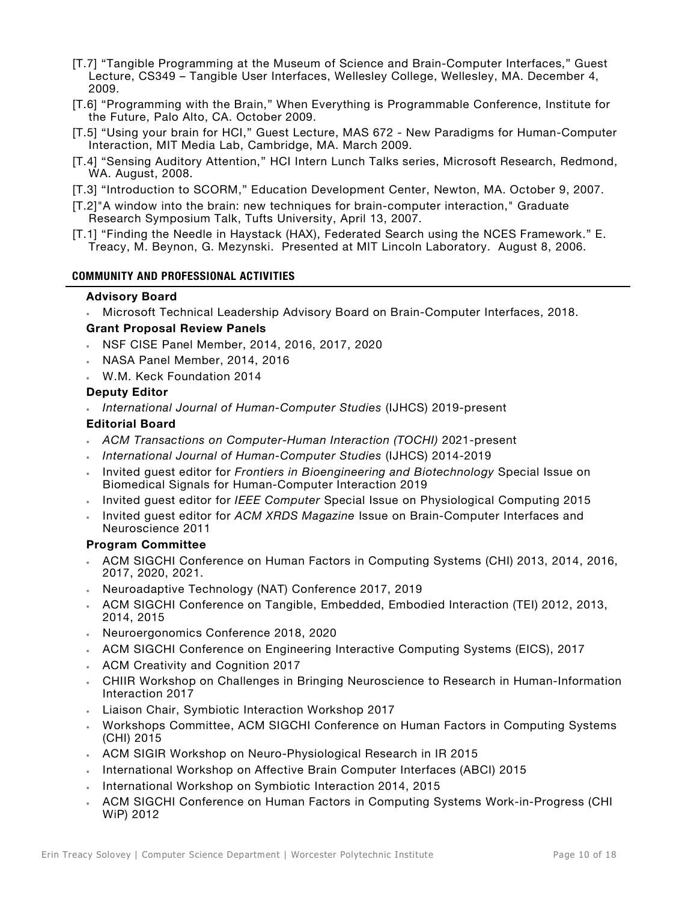- [T.7] "Tangible Programming at the Museum of Science and Brain-Computer Interfaces," Guest Lecture, CS349 – Tangible User Interfaces, Wellesley College, Wellesley, MA. December 4, 2009.
- [T.6] "Programming with the Brain," When Everything is Programmable Conference, Institute for the Future, Palo Alto, CA. October 2009.
- [T.5] "Using your brain for HCI," Guest Lecture, MAS 672 New Paradigms for Human-Computer Interaction, MIT Media Lab, Cambridge, MA. March 2009.
- [T.4] "Sensing Auditory Attention," HCI Intern Lunch Talks series, Microsoft Research, Redmond, WA. August, 2008.
- [T.3] "Introduction to SCORM," Education Development Center, Newton, MA. October 9, 2007.
- [T.2]"A window into the brain: new techniques for brain-computer interaction," Graduate Research Symposium Talk, Tufts University, April 13, 2007.
- [T.1] "Finding the Needle in Haystack (HAX), Federated Search using the NCES Framework." E. Treacy, M. Beynon, G. Mezynski. Presented at MIT Lincoln Laboratory. August 8, 2006.

#### **COMMUNITY AND PROFESSIONAL ACTIVITIES**

#### **Advisory Board**

• Microsoft Technical Leadership Advisory Board on Brain-Computer Interfaces, 2018.

#### **Grant Proposal Review Panels**

- NSF CISE Panel Member, 2014, 2016, 2017, 2020
- NASA Panel Member, 2014, 2016
- W.M. Keck Foundation 2014

#### **Deputy Editor**

• *International Journal of Human-Computer Studies* (IJHCS) 2019-present

#### **Editorial Board**

- *ACM Transactions on Computer-Human Interaction (TOCHI)* 2021-present
- *International Journal of Human-Computer Studies* (IJHCS) 2014-2019
- Invited guest editor for *Frontiers in Bioengineering and Biotechnology* Special Issue on Biomedical Signals for Human-Computer Interaction 2019
- Invited guest editor for *IEEE Computer* Special Issue on Physiological Computing 2015
- Invited guest editor for *ACM XRDS Magazine* Issue on Brain-Computer Interfaces and Neuroscience 2011

#### **Program Committee**

- ACM SIGCHI Conference on Human Factors in Computing Systems (CHI) 2013, 2014, 2016, 2017, 2020, 2021.
- Neuroadaptive Technology (NAT) Conference 2017, 2019
- ACM SIGCHI Conference on Tangible, Embedded, Embodied Interaction (TEI) 2012, 2013, 2014, 2015
- Neuroergonomics Conference 2018, 2020
- ACM SIGCHI Conference on Engineering Interactive Computing Systems (EICS), 2017
- ACM Creativity and Cognition 2017
- CHIIR Workshop on Challenges in Bringing Neuroscience to Research in Human-Information Interaction 2017
- Liaison Chair, Symbiotic Interaction Workshop 2017
- Workshops Committee, ACM SIGCHI Conference on Human Factors in Computing Systems (CHI) 2015
- ACM SIGIR Workshop on Neuro-Physiological Research in IR 2015
- International Workshop on Affective Brain Computer Interfaces (ABCI) 2015
- International Workshop on Symbiotic Interaction 2014, 2015
- ACM SIGCHI Conference on Human Factors in Computing Systems Work-in-Progress (CHI WiP) 2012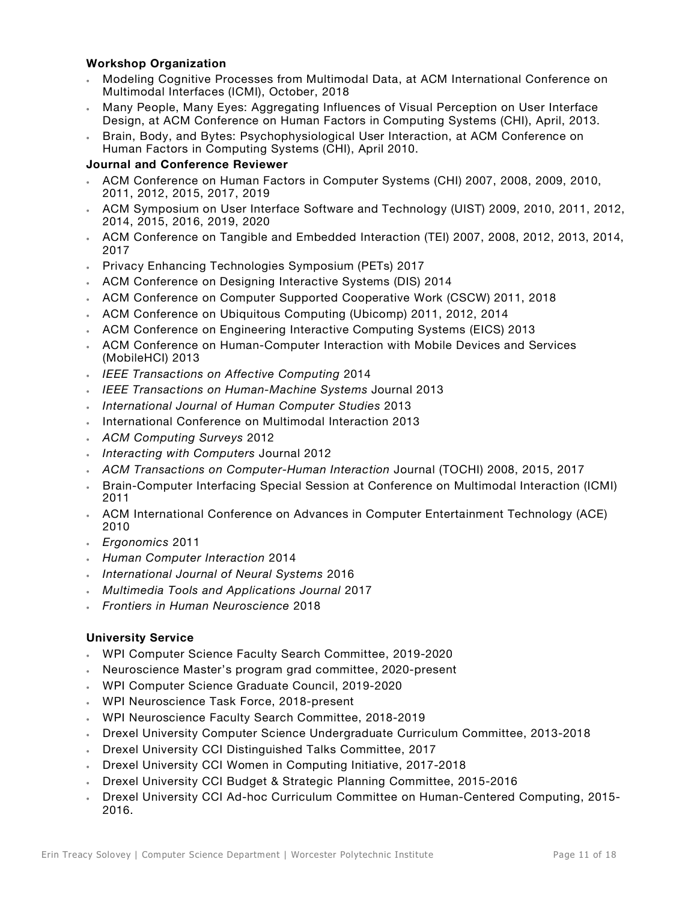# **Workshop Organization**

- Modeling Cognitive Processes from Multimodal Data, at ACM International Conference on Multimodal Interfaces (ICMI), October, 2018
- Many People, Many Eyes: Aggregating Influences of Visual Perception on User Interface Design, at ACM Conference on Human Factors in Computing Systems (CHI), April, 2013.
- Brain, Body, and Bytes: Psychophysiological User Interaction, at ACM Conference on Human Factors in Computing Systems (CHI), April 2010.

# **Journal and Conference Reviewer**

- ACM Conference on Human Factors in Computer Systems (CHI) 2007, 2008, 2009, 2010, 2011, 2012, 2015, 2017, 2019
- ACM Symposium on User Interface Software and Technology (UIST) 2009, 2010, 2011, 2012, 2014, 2015, 2016, 2019, 2020
- ACM Conference on Tangible and Embedded Interaction (TEI) 2007, 2008, 2012, 2013, 2014, 2017
- Privacy Enhancing Technologies Symposium (PETs) 2017
- ACM Conference on Designing Interactive Systems (DIS) 2014
- ACM Conference on Computer Supported Cooperative Work (CSCW) 2011, 2018
- ACM Conference on Ubiquitous Computing (Ubicomp) 2011, 2012, 2014
- ACM Conference on Engineering Interactive Computing Systems (EICS) 2013
- ACM Conference on Human-Computer Interaction with Mobile Devices and Services (MobileHCI) 2013
- *IEEE Transactions on Affective Computing* 2014
- *IEEE Transactions on Human-Machine Systems* Journal 2013
- *International Journal of Human Computer Studies* 2013
- International Conference on Multimodal Interaction 2013
- *ACM Computing Surveys* 2012
- *Interacting with Computers* Journal 2012
- *ACM Transactions on Computer-Human Interaction* Journal (TOCHI) 2008, 2015, 2017
- Brain-Computer Interfacing Special Session at Conference on Multimodal Interaction (ICMI) 2011
- ACM International Conference on Advances in Computer Entertainment Technology (ACE) 2010
- *Ergonomics* 2011
- *Human Computer Interaction* 2014
- *International Journal of Neural Systems* 2016
- *Multimedia Tools and Applications Journal* 2017
- *Frontiers in Human Neuroscience* 2018

# **University Service**

- WPI Computer Science Faculty Search Committee, 2019-2020
- Neuroscience Master's program grad committee, 2020-present
- WPI Computer Science Graduate Council, 2019-2020
- WPI Neuroscience Task Force, 2018-present
- WPI Neuroscience Faculty Search Committee, 2018-2019
- Drexel University Computer Science Undergraduate Curriculum Committee, 2013-2018
- Drexel University CCI Distinguished Talks Committee, 2017
- Drexel University CCI Women in Computing Initiative, 2017-2018
- Drexel University CCI Budget & Strategic Planning Committee, 2015-2016
- Drexel University CCI Ad-hoc Curriculum Committee on Human-Centered Computing, 2015- 2016.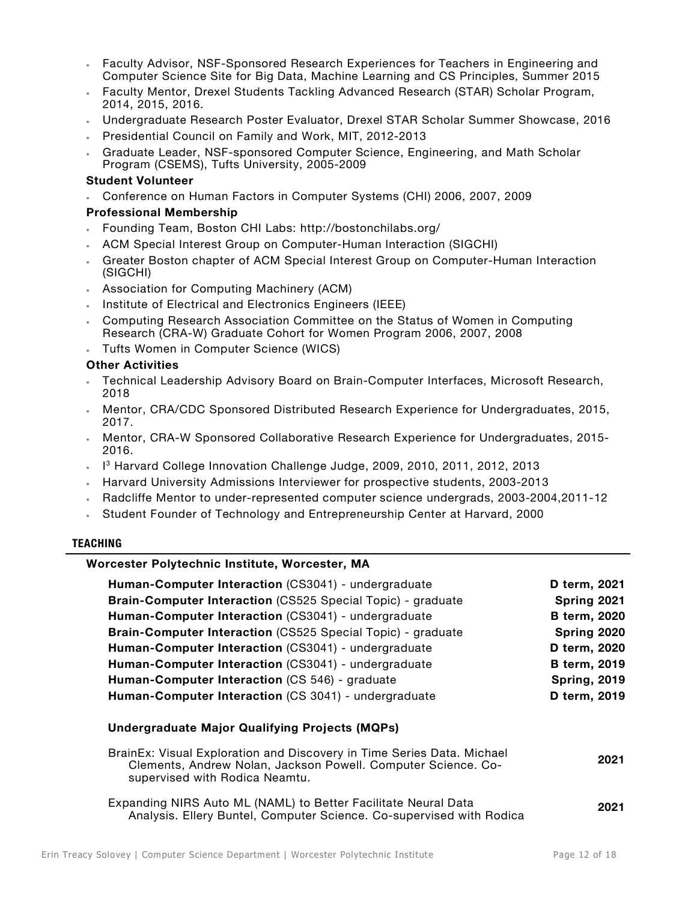- Faculty Advisor, NSF-Sponsored Research Experiences for Teachers in Engineering and Computer Science Site for Big Data, Machine Learning and CS Principles, Summer 2015
- Faculty Mentor, Drexel Students Tackling Advanced Research (STAR) Scholar Program, 2014, 2015, 2016.
- Undergraduate Research Poster Evaluator, Drexel STAR Scholar Summer Showcase, 2016
- Presidential Council on Family and Work, MIT, 2012-2013
- Graduate Leader, NSF-sponsored Computer Science, Engineering, and Math Scholar Program (CSEMS), Tufts University, 2005-2009

#### **Student Volunteer**

• Conference on Human Factors in Computer Systems (CHI) 2006, 2007, 2009

## **Professional Membership**

- Founding Team, Boston CHI Labs: http://bostonchilabs.org/
- ACM Special Interest Group on Computer-Human Interaction (SIGCHI)
- Greater Boston chapter of ACM Special Interest Group on Computer-Human Interaction (SIGCHI)
- Association for Computing Machinery (ACM)
- Institute of Electrical and Electronics Engineers (IEEE)
- Computing Research Association Committee on the Status of Women in Computing Research (CRA-W) Graduate Cohort for Women Program 2006, 2007, 2008
- Tufts Women in Computer Science (WICS)

#### **Other Activities**

- Technical Leadership Advisory Board on Brain-Computer Interfaces, Microsoft Research, 2018
- Mentor, CRA/CDC Sponsored Distributed Research Experience for Undergraduates, 2015, 2017.
- Mentor, CRA-W Sponsored Collaborative Research Experience for Undergraduates, 2015- 2016.
- I <sup>3</sup> Harvard College Innovation Challenge Judge, 2009, 2010, 2011, 2012, 2013
- Harvard University Admissions Interviewer for prospective students, 2003-2013
- Radcliffe Mentor to under-represented computer science undergrads, 2003-2004,2011-12
- Student Founder of Technology and Entrepreneurship Center at Harvard, 2000

#### **TEACHING**

# **Worcester Polytechnic Institute, Worcester, MA**

| Human-Computer Interaction (CS3041) - undergraduate                                                                                                                       | D term, 2021        |
|---------------------------------------------------------------------------------------------------------------------------------------------------------------------------|---------------------|
| <b>Brain-Computer Interaction (CS525 Special Topic) - graduate</b>                                                                                                        | Spring 2021         |
| Human-Computer Interaction (CS3041) - undergraduate                                                                                                                       | <b>B</b> term, 2020 |
| <b>Brain-Computer Interaction (CS525 Special Topic) - graduate</b>                                                                                                        | Spring 2020         |
| Human-Computer Interaction (CS3041) - undergraduate                                                                                                                       | D term, 2020        |
| Human-Computer Interaction (CS3041) - undergraduate                                                                                                                       | <b>B</b> term, 2019 |
| Human-Computer Interaction (CS 546) - graduate                                                                                                                            | <b>Spring, 2019</b> |
| Human-Computer Interaction (CS 3041) - undergraduate                                                                                                                      | D term, 2019        |
| <b>Undergraduate Major Qualifying Projects (MQPs)</b>                                                                                                                     |                     |
| BrainEx: Visual Exploration and Discovery in Time Series Data. Michael<br>Clements, Andrew Nolan, Jackson Powell. Computer Science. Co-<br>supervised with Rodica Neamtu. | 2021                |
| Expanding NIRS Auto ML (NAML) to Better Facilitate Neural Data<br>Analysis. Ellery Buntel, Computer Science. Co-supervised with Rodica                                    | 2021                |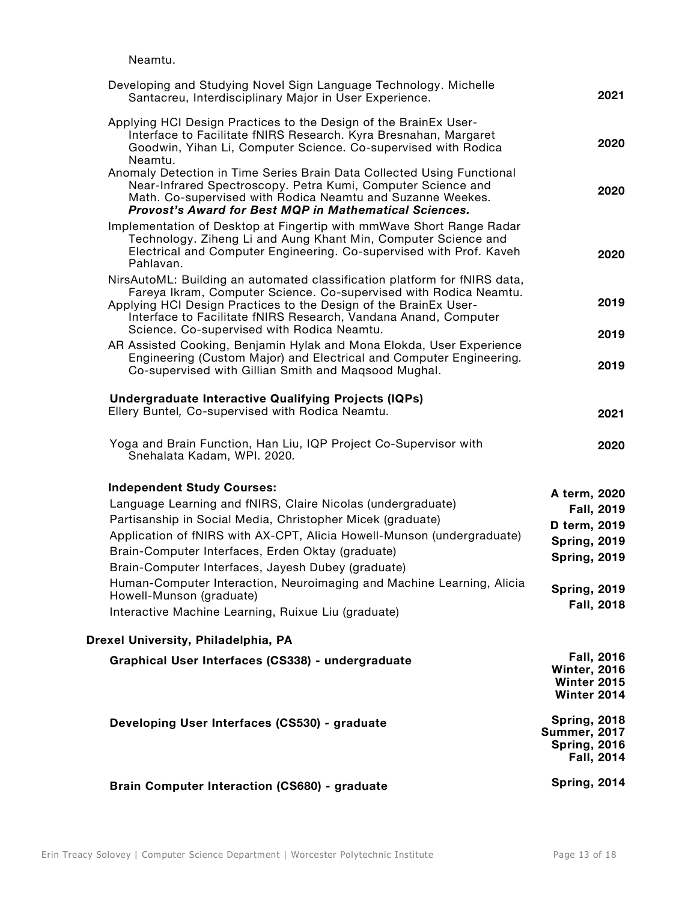Neamtu.

| Developing and Studying Novel Sign Language Technology. Michelle<br>Santacreu, Interdisciplinary Major in User Experience.                                                                                                                                                                                                                                                                                                                                                                                      | 2021                                                                                                                          |
|-----------------------------------------------------------------------------------------------------------------------------------------------------------------------------------------------------------------------------------------------------------------------------------------------------------------------------------------------------------------------------------------------------------------------------------------------------------------------------------------------------------------|-------------------------------------------------------------------------------------------------------------------------------|
| Applying HCI Design Practices to the Design of the BrainEx User-<br>Interface to Facilitate fNIRS Research. Kyra Bresnahan, Margaret<br>Goodwin, Yihan Li, Computer Science. Co-supervised with Rodica<br>Neamtu.                                                                                                                                                                                                                                                                                               | 2020                                                                                                                          |
| Anomaly Detection in Time Series Brain Data Collected Using Functional<br>Near-Infrared Spectroscopy. Petra Kumi, Computer Science and<br>Math. Co-supervised with Rodica Neamtu and Suzanne Weekes.<br><b>Provost's Award for Best MQP in Mathematical Sciences.</b>                                                                                                                                                                                                                                           | 2020                                                                                                                          |
| Implementation of Desktop at Fingertip with mmWave Short Range Radar<br>Technology. Ziheng Li and Aung Khant Min, Computer Science and<br>Electrical and Computer Engineering. Co-supervised with Prof. Kaveh<br>Pahlavan.                                                                                                                                                                                                                                                                                      | 2020                                                                                                                          |
| NirsAutoML: Building an automated classification platform for fNIRS data,<br>Fareya Ikram, Computer Science. Co-supervised with Rodica Neamtu.<br>Applying HCI Design Practices to the Design of the BrainEx User-<br>Interface to Facilitate fNIRS Research, Vandana Anand, Computer<br>Science. Co-supervised with Rodica Neamtu.                                                                                                                                                                             | 2019                                                                                                                          |
| AR Assisted Cooking, Benjamin Hylak and Mona Elokda, User Experience<br>Engineering (Custom Major) and Electrical and Computer Engineering.<br>Co-supervised with Gillian Smith and Maqsood Mughal.                                                                                                                                                                                                                                                                                                             | 2019<br>2019                                                                                                                  |
| <b>Undergraduate Interactive Qualifying Projects (IQPs)</b><br>Ellery Buntel, Co-supervised with Rodica Neamtu.                                                                                                                                                                                                                                                                                                                                                                                                 | 2021                                                                                                                          |
| Yoga and Brain Function, Han Liu, IQP Project Co-Supervisor with<br>Snehalata Kadam, WPI. 2020.                                                                                                                                                                                                                                                                                                                                                                                                                 | 2020                                                                                                                          |
| <b>Independent Study Courses:</b><br>Language Learning and fNIRS, Claire Nicolas (undergraduate)<br>Partisanship in Social Media, Christopher Micek (graduate)<br>Application of fNIRS with AX-CPT, Alicia Howell-Munson (undergraduate)<br>Brain-Computer Interfaces, Erden Oktay (graduate)<br>Brain-Computer Interfaces, Jayesh Dubey (graduate)<br>Human-Computer Interaction, Neuroimaging and Machine Learning, Alicia<br>Howell-Munson (graduate)<br>Interactive Machine Learning, Ruixue Liu (graduate) | A term, 2020<br>Fall, 2019<br>D term, 2019<br><b>Spring, 2019</b><br><b>Spring, 2019</b><br><b>Spring, 2019</b><br>Fall, 2018 |
| Drexel University, Philadelphia, PA                                                                                                                                                                                                                                                                                                                                                                                                                                                                             |                                                                                                                               |
| Graphical User Interfaces (CS338) - undergraduate                                                                                                                                                                                                                                                                                                                                                                                                                                                               | Fall, 2016<br><b>Winter, 2016</b><br>Winter 2015<br>Winter 2014                                                               |
| Developing User Interfaces (CS530) - graduate                                                                                                                                                                                                                                                                                                                                                                                                                                                                   | <b>Spring, 2018</b><br><b>Summer, 2017</b><br><b>Spring, 2016</b><br>Fall, 2014                                               |
| <b>Brain Computer Interaction (CS680) - graduate</b>                                                                                                                                                                                                                                                                                                                                                                                                                                                            | <b>Spring, 2014</b>                                                                                                           |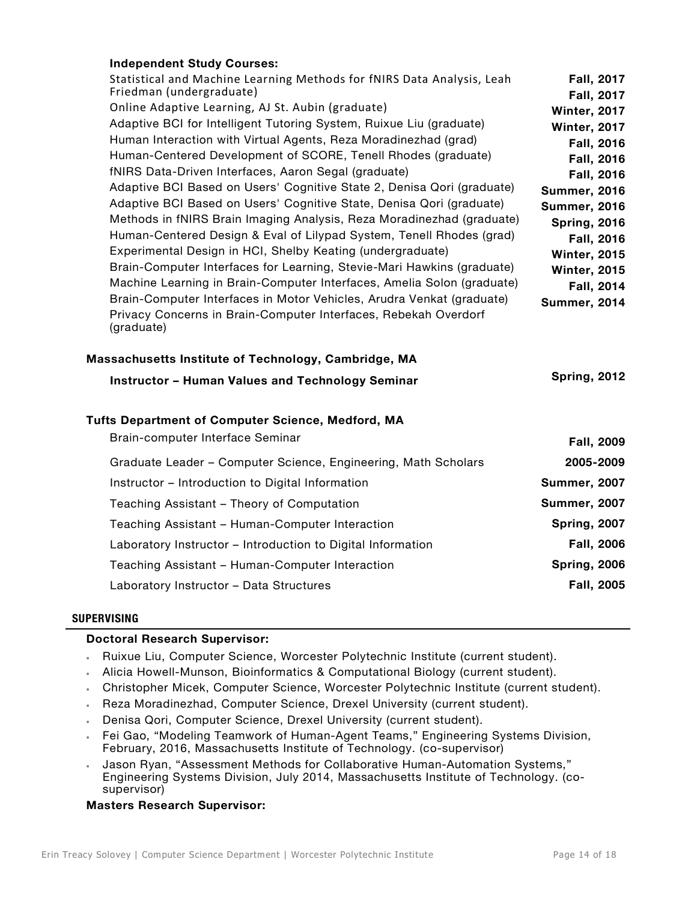# **Independent Study Courses:**

| Statistical and Machine Learning Methods for fNIRS Data Analysis, Leah<br>Friedman (undergraduate)<br>Online Adaptive Learning, AJ St. Aubin (graduate)<br>Adaptive BCI for Intelligent Tutoring System, Ruixue Liu (graduate)<br>Human Interaction with Virtual Agents, Reza Moradinezhad (grad)<br>Human-Centered Development of SCORE, Tenell Rhodes (graduate)<br>fNIRS Data-Driven Interfaces, Aaron Segal (graduate)<br>Adaptive BCI Based on Users' Cognitive State 2, Denisa Qori (graduate)<br>Adaptive BCI Based on Users' Cognitive State, Denisa Qori (graduate)<br>Methods in fNIRS Brain Imaging Analysis, Reza Moradinezhad (graduate)<br>Human-Centered Design & Eval of Lilypad System, Tenell Rhodes (grad)<br>Experimental Design in HCI, Shelby Keating (undergraduate)<br>Brain-Computer Interfaces for Learning, Stevie-Mari Hawkins (graduate)<br>Machine Learning in Brain-Computer Interfaces, Amelia Solon (graduate)<br>Brain-Computer Interfaces in Motor Vehicles, Arudra Venkat (graduate)<br>Privacy Concerns in Brain-Computer Interfaces, Rebekah Overdorf<br>(graduate)<br>Massachusetts Institute of Technology, Cambridge, MA | <b>Fall, 2017</b><br>Fall, 2017<br><b>Winter, 2017</b><br><b>Winter, 2017</b><br><b>Fall, 2016</b><br>Fall, 2016<br><b>Fall, 2016</b><br><b>Summer, 2016</b><br><b>Summer, 2016</b><br><b>Spring, 2016</b><br>Fall, 2016<br><b>Winter, 2015</b><br><b>Winter, 2015</b><br>Fall, 2014<br><b>Summer, 2014</b> |
|-------------------------------------------------------------------------------------------------------------------------------------------------------------------------------------------------------------------------------------------------------------------------------------------------------------------------------------------------------------------------------------------------------------------------------------------------------------------------------------------------------------------------------------------------------------------------------------------------------------------------------------------------------------------------------------------------------------------------------------------------------------------------------------------------------------------------------------------------------------------------------------------------------------------------------------------------------------------------------------------------------------------------------------------------------------------------------------------------------------------------------------------------------------------|-------------------------------------------------------------------------------------------------------------------------------------------------------------------------------------------------------------------------------------------------------------------------------------------------------------|
| <b>Instructor - Human Values and Technology Seminar</b><br>Tufts Department of Computer Science, Medford, MA                                                                                                                                                                                                                                                                                                                                                                                                                                                                                                                                                                                                                                                                                                                                                                                                                                                                                                                                                                                                                                                      | <b>Spring, 2012</b>                                                                                                                                                                                                                                                                                         |
| Brain-computer Interface Seminar                                                                                                                                                                                                                                                                                                                                                                                                                                                                                                                                                                                                                                                                                                                                                                                                                                                                                                                                                                                                                                                                                                                                  | <b>Fall, 2009</b>                                                                                                                                                                                                                                                                                           |
| Graduate Leader - Computer Science, Engineering, Math Scholars                                                                                                                                                                                                                                                                                                                                                                                                                                                                                                                                                                                                                                                                                                                                                                                                                                                                                                                                                                                                                                                                                                    | 2005-2009                                                                                                                                                                                                                                                                                                   |
| Instructor - Introduction to Digital Information                                                                                                                                                                                                                                                                                                                                                                                                                                                                                                                                                                                                                                                                                                                                                                                                                                                                                                                                                                                                                                                                                                                  | <b>Summer, 2007</b>                                                                                                                                                                                                                                                                                         |
| Teaching Assistant - Theory of Computation                                                                                                                                                                                                                                                                                                                                                                                                                                                                                                                                                                                                                                                                                                                                                                                                                                                                                                                                                                                                                                                                                                                        | <b>Summer, 2007</b>                                                                                                                                                                                                                                                                                         |
| Teaching Assistant - Human-Computer Interaction                                                                                                                                                                                                                                                                                                                                                                                                                                                                                                                                                                                                                                                                                                                                                                                                                                                                                                                                                                                                                                                                                                                   | <b>Spring, 2007</b>                                                                                                                                                                                                                                                                                         |
| Laboratory Instructor - Introduction to Digital Information                                                                                                                                                                                                                                                                                                                                                                                                                                                                                                                                                                                                                                                                                                                                                                                                                                                                                                                                                                                                                                                                                                       | <b>Fall, 2006</b>                                                                                                                                                                                                                                                                                           |
| Teaching Assistant - Human-Computer Interaction                                                                                                                                                                                                                                                                                                                                                                                                                                                                                                                                                                                                                                                                                                                                                                                                                                                                                                                                                                                                                                                                                                                   | <b>Spring, 2006</b>                                                                                                                                                                                                                                                                                         |
| Laboratory Instructor - Data Structures                                                                                                                                                                                                                                                                                                                                                                                                                                                                                                                                                                                                                                                                                                                                                                                                                                                                                                                                                                                                                                                                                                                           | Fall, 2005                                                                                                                                                                                                                                                                                                  |

## **SUPERVISING**

## **Doctoral Research Supervisor:**

- Ruixue Liu, Computer Science, Worcester Polytechnic Institute (current student).
- Alicia Howell-Munson, Bioinformatics & Computational Biology (current student).
- Christopher Micek, Computer Science, Worcester Polytechnic Institute (current student).
- Reza Moradinezhad, Computer Science, Drexel University (current student).
- Denisa Qori, Computer Science, Drexel University (current student).
- Fei Gao, "Modeling Teamwork of Human-Agent Teams," Engineering Systems Division, February, 2016, Massachusetts Institute of Technology. (co-supervisor)
- Jason Ryan, "Assessment Methods for Collaborative Human-Automation Systems," Engineering Systems Division, July 2014, Massachusetts Institute of Technology. (cosupervisor)

## **Masters Research Supervisor:**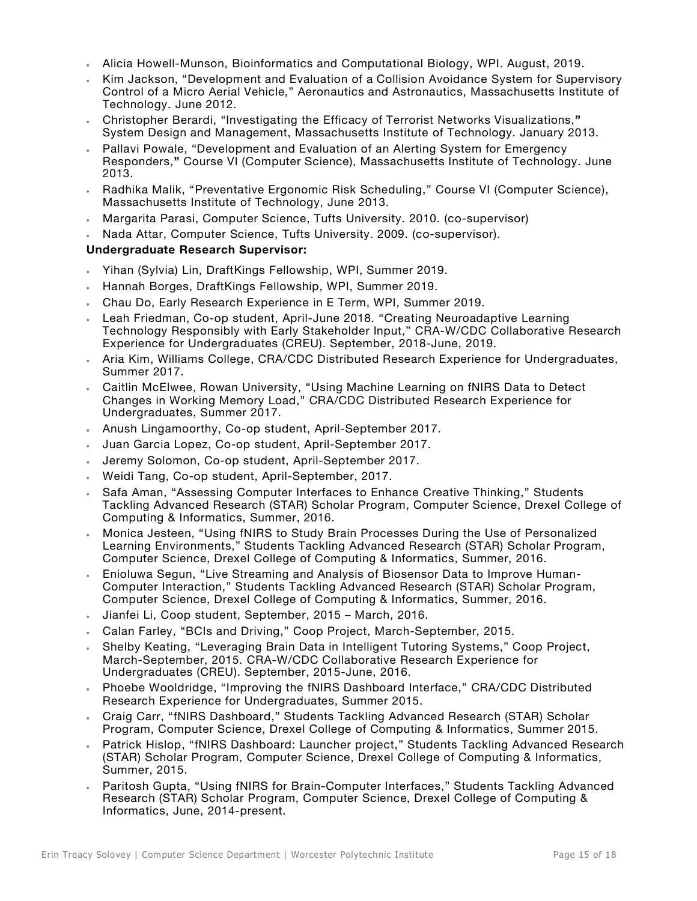- Alicia Howell-Munson, Bioinformatics and Computational Biology, WPI. August, 2019.
- Kim Jackson, "Development and Evaluation of a Collision Avoidance System for Supervisory Control of a Micro Aerial Vehicle," Aeronautics and Astronautics, Massachusetts Institute of Technology. June 2012.
- Christopher Berardi, "Investigating the Efficacy of Terrorist Networks Visualizations,**"**  System Design and Management, Massachusetts Institute of Technology. January 2013.
- Pallavi Powale, "Development and Evaluation of an Alerting System for Emergency Responders,**"** Course VI (Computer Science), Massachusetts Institute of Technology. June 2013.
- Radhika Malik, "Preventative Ergonomic Risk Scheduling," Course VI (Computer Science), Massachusetts Institute of Technology, June 2013.
- Margarita Parasi, Computer Science, Tufts University. 2010. (co-supervisor)
- Nada Attar, Computer Science, Tufts University. 2009. (co-supervisor).

# **Undergraduate Research Supervisor:**

- Yihan (Sylvia) Lin, DraftKings Fellowship, WPI, Summer 2019.
- Hannah Borges, DraftKings Fellowship, WPI, Summer 2019.
- Chau Do, Early Research Experience in E Term, WPI, Summer 2019.
- Leah Friedman, Co-op student, April-June 2018. "Creating Neuroadaptive Learning Technology Responsibly with Early Stakeholder Input," CRA-W/CDC Collaborative Research Experience for Undergraduates (CREU). September, 2018-June, 2019.
- Aria Kim, Williams College, CRA/CDC Distributed Research Experience for Undergraduates, Summer 2017.
- Caitlin McElwee, Rowan University, "Using Machine Learning on fNIRS Data to Detect Changes in Working Memory Load," CRA/CDC Distributed Research Experience for Undergraduates, Summer 2017.
- Anush Lingamoorthy, Co-op student, April-September 2017.
- Juan Garcia Lopez, Co-op student, April-September 2017.
- Jeremy Solomon, Co-op student, April-September 2017.
- Weidi Tang, Co-op student, April-September, 2017.
- Safa Aman, "Assessing Computer Interfaces to Enhance Creative Thinking," Students Tackling Advanced Research (STAR) Scholar Program, Computer Science, Drexel College of Computing & Informatics, Summer, 2016.
- Monica Jesteen, "Using fNIRS to Study Brain Processes During the Use of Personalized Learning Environments," Students Tackling Advanced Research (STAR) Scholar Program, Computer Science, Drexel College of Computing & Informatics, Summer, 2016.
- Enioluwa Segun, "Live Streaming and Analysis of Biosensor Data to Improve Human-Computer Interaction," Students Tackling Advanced Research (STAR) Scholar Program, Computer Science, Drexel College of Computing & Informatics, Summer, 2016.
- Jianfei Li, Coop student, September, 2015 March, 2016.
- Calan Farley, "BCIs and Driving," Coop Project, March-September, 2015.
- Shelby Keating, "Leveraging Brain Data in Intelligent Tutoring Systems," Coop Project, March-September, 2015. CRA-W/CDC Collaborative Research Experience for Undergraduates (CREU). September, 2015-June, 2016.
- Phoebe Wooldridge, "Improving the fNIRS Dashboard Interface," CRA/CDC Distributed Research Experience for Undergraduates, Summer 2015.
- Craig Carr, "fNIRS Dashboard," Students Tackling Advanced Research (STAR) Scholar Program, Computer Science, Drexel College of Computing & Informatics, Summer 2015.
- Patrick Hislop, "fNIRS Dashboard: Launcher project," Students Tackling Advanced Research (STAR) Scholar Program, Computer Science, Drexel College of Computing & Informatics, Summer, 2015.
- Paritosh Gupta, "Using fNIRS for Brain-Computer Interfaces," Students Tackling Advanced Research (STAR) Scholar Program, Computer Science, Drexel College of Computing & Informatics, June, 2014-present.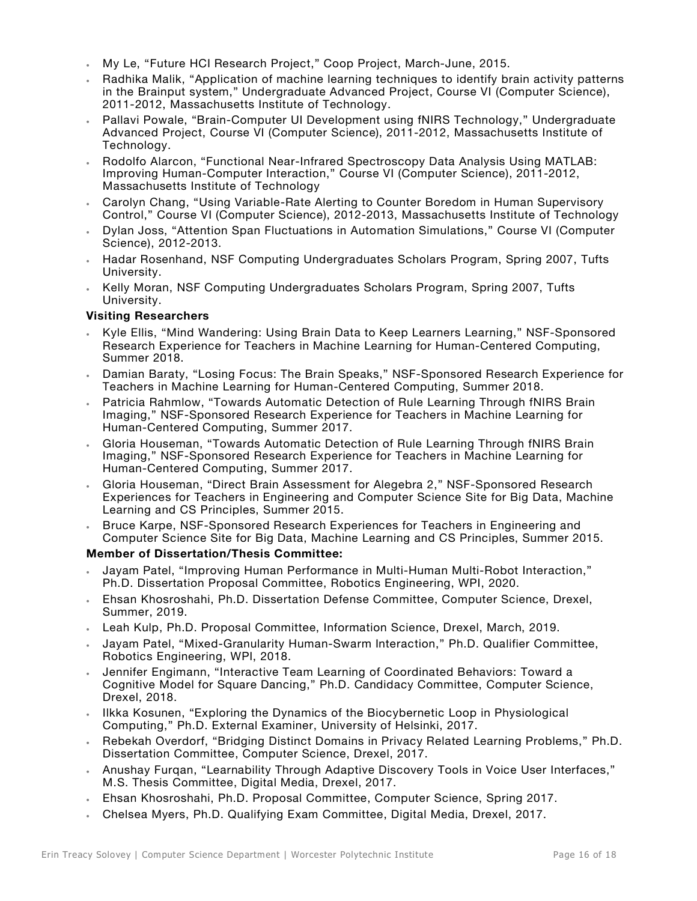- My Le, "Future HCI Research Project," Coop Project, March-June, 2015.
- Radhika Malik, "Application of machine learning techniques to identify brain activity patterns in the Brainput system," Undergraduate Advanced Project, Course VI (Computer Science), 2011-2012, Massachusetts Institute of Technology.
- Pallavi Powale, "Brain-Computer UI Development using fNIRS Technology," Undergraduate Advanced Project, Course VI (Computer Science), 2011-2012, Massachusetts Institute of Technology.
- Rodolfo Alarcon, "Functional Near-Infrared Spectroscopy Data Analysis Using MATLAB: Improving Human-Computer Interaction," Course VI (Computer Science), 2011-2012, Massachusetts Institute of Technology
- Carolyn Chang, "Using Variable-Rate Alerting to Counter Boredom in Human Supervisory Control," Course VI (Computer Science), 2012-2013, Massachusetts Institute of Technology
- Dylan Joss, "Attention Span Fluctuations in Automation Simulations," Course VI (Computer Science), 2012-2013.
- Hadar Rosenhand, NSF Computing Undergraduates Scholars Program, Spring 2007, Tufts University.
- Kelly Moran, NSF Computing Undergraduates Scholars Program, Spring 2007, Tufts University.

# **Visiting Researchers**

- Kyle Ellis, "Mind Wandering: Using Brain Data to Keep Learners Learning," NSF-Sponsored Research Experience for Teachers in Machine Learning for Human-Centered Computing, Summer 2018.
- Damian Baraty, "Losing Focus: The Brain Speaks," NSF-Sponsored Research Experience for Teachers in Machine Learning for Human-Centered Computing, Summer 2018.
- Patricia Rahmlow, "Towards Automatic Detection of Rule Learning Through fNIRS Brain Imaging," NSF-Sponsored Research Experience for Teachers in Machine Learning for Human-Centered Computing, Summer 2017.
- Gloria Houseman, "Towards Automatic Detection of Rule Learning Through fNIRS Brain Imaging," NSF-Sponsored Research Experience for Teachers in Machine Learning for Human-Centered Computing, Summer 2017.
- Gloria Houseman, "Direct Brain Assessment for Alegebra 2," NSF-Sponsored Research Experiences for Teachers in Engineering and Computer Science Site for Big Data, Machine Learning and CS Principles, Summer 2015.
- Bruce Karpe, NSF-Sponsored Research Experiences for Teachers in Engineering and Computer Science Site for Big Data, Machine Learning and CS Principles, Summer 2015.

## **Member of Dissertation/Thesis Committee:**

- Jayam Patel, "Improving Human Performance in Multi-Human Multi-Robot Interaction," Ph.D. Dissertation Proposal Committee, Robotics Engineering, WPI, 2020.
- Ehsan Khosroshahi, Ph.D. Dissertation Defense Committee, Computer Science, Drexel, Summer, 2019.
- Leah Kulp, Ph.D. Proposal Committee, Information Science, Drexel, March, 2019.
- Jayam Patel, "Mixed-Granularity Human-Swarm Interaction," Ph.D. Qualifier Committee, Robotics Engineering, WPI, 2018.
- Jennifer Engimann, "Interactive Team Learning of Coordinated Behaviors: Toward a Cognitive Model for Square Dancing," Ph.D. Candidacy Committee, Computer Science, Drexel, 2018.
- Ilkka Kosunen, "Exploring the Dynamics of the Biocybernetic Loop in Physiological Computing," Ph.D. External Examiner, University of Helsinki, 2017.
- Rebekah Overdorf, "Bridging Distinct Domains in Privacy Related Learning Problems," Ph.D. Dissertation Committee, Computer Science, Drexel, 2017.
- Anushay Furqan, "Learnability Through Adaptive Discovery Tools in Voice User Interfaces," M.S. Thesis Committee, Digital Media, Drexel, 2017.
- Ehsan Khosroshahi, Ph.D. Proposal Committee, Computer Science, Spring 2017.
- Chelsea Myers, Ph.D. Qualifying Exam Committee, Digital Media, Drexel, 2017.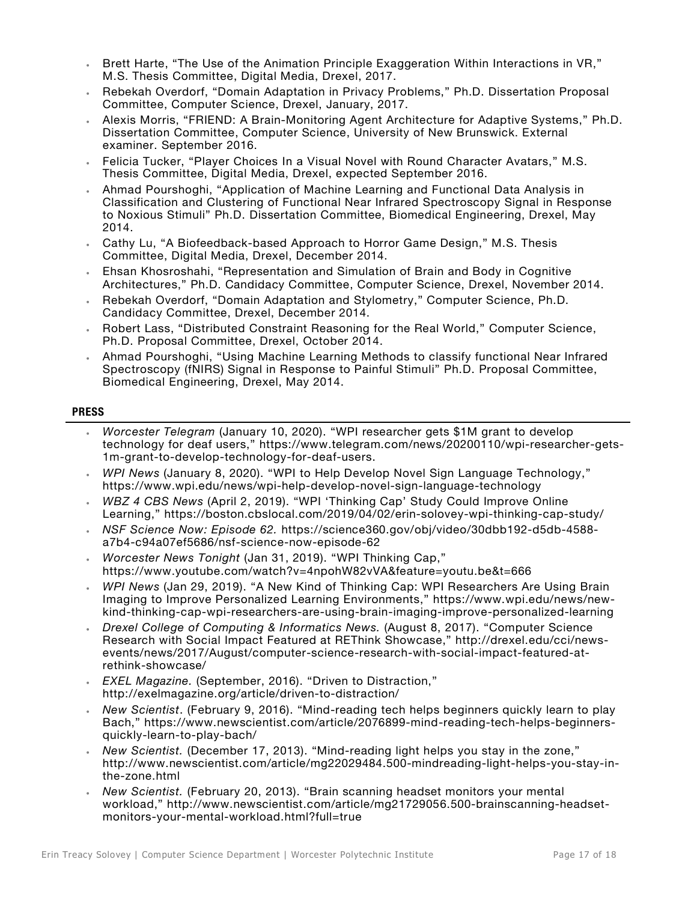- Brett Harte, "The Use of the Animation Principle Exaggeration Within Interactions in VR," M.S. Thesis Committee, Digital Media, Drexel, 2017.
- Rebekah Overdorf, "Domain Adaptation in Privacy Problems," Ph.D. Dissertation Proposal Committee, Computer Science, Drexel, January, 2017.
- Alexis Morris, "FRIEND: A Brain-Monitoring Agent Architecture for Adaptive Systems," Ph.D. Dissertation Committee, Computer Science, University of New Brunswick. External examiner. September 2016.
- Felicia Tucker, "Player Choices In a Visual Novel with Round Character Avatars," M.S. Thesis Committee, Digital Media, Drexel, expected September 2016.
- Ahmad Pourshoghi, "Application of Machine Learning and Functional Data Analysis in Classification and Clustering of Functional Near Infrared Spectroscopy Signal in Response to Noxious Stimuli" Ph.D. Dissertation Committee, Biomedical Engineering, Drexel, May 2014.
- Cathy Lu, "A Biofeedback-based Approach to Horror Game Design," M.S. Thesis Committee, Digital Media, Drexel, December 2014.
- Ehsan Khosroshahi, "Representation and Simulation of Brain and Body in Cognitive Architectures," Ph.D. Candidacy Committee, Computer Science, Drexel, November 2014.
- Rebekah Overdorf, "Domain Adaptation and Stylometry," Computer Science, Ph.D. Candidacy Committee, Drexel, December 2014.
- Robert Lass, "Distributed Constraint Reasoning for the Real World," Computer Science, Ph.D. Proposal Committee, Drexel, October 2014.
- Ahmad Pourshoghi, "Using Machine Learning Methods to classify functional Near Infrared Spectroscopy (fNIRS) Signal in Response to Painful Stimuli" Ph.D. Proposal Committee, Biomedical Engineering, Drexel, May 2014.

#### **PRESS**

- *Worcester Telegram* (January 10, 2020). "WPI researcher gets \$1M grant to develop technology for deaf users," https://www.telegram.com/news/20200110/wpi-researcher-gets-1m-grant-to-develop-technology-for-deaf-users.
- *WPI News* (January 8, 2020). "WPI to Help Develop Novel Sign Language Technology," https://www.wpi.edu/news/wpi-help-develop-novel-sign-language-technology
- *WBZ 4 CBS News* (April 2, 2019). "WPI 'Thinking Cap' Study Could Improve Online Learning," https://boston.cbslocal.com/2019/04/02/erin-solovey-wpi-thinking-cap-study/
- *NSF Science Now: Episode 62.* https://science360.gov/obj/video/30dbb192-d5db-4588 a7b4-c94a07ef5686/nsf-science-now-episode-62
- *Worcester News Tonight* (Jan 31, 2019). "WPI Thinking Cap," https://www.youtube.com/watch?v=4npohW82vVA&feature=youtu.be&t=666
- *WPI News* (Jan 29, 2019). "A New Kind of Thinking Cap: WPI Researchers Are Using Brain Imaging to Improve Personalized Learning Environments," https://www.wpi.edu/news/newkind-thinking-cap-wpi-researchers-are-using-brain-imaging-improve-personalized-learning
- *Drexel College of Computing & Informatics News.* (August 8, 2017). "Computer Science Research with Social Impact Featured at REThink Showcase," http://drexel.edu/cci/newsevents/news/2017/August/computer-science-research-with-social-impact-featured-atrethink-showcase/
- *EXEL Magazine.* (September, 2016). "Driven to Distraction," http://exelmagazine.org/article/driven-to-distraction/
- *New Scientist*. (February 9, 2016). "Mind-reading tech helps beginners quickly learn to play Bach," https://www.newscientist.com/article/2076899-mind-reading-tech-helps-beginnersquickly-learn-to-play-bach/
- *New Scientist.* (December 17, 2013). "Mind-reading light helps you stay in the zone," http://www.newscientist.com/article/mg22029484.500-mindreading-light-helps-you-stay-inthe-zone.html
- *New Scientist.* (February 20, 2013). "Brain scanning headset monitors your mental workload," http://www.newscientist.com/article/mg21729056.500-brainscanning-headsetmonitors-your-mental-workload.html?full=true